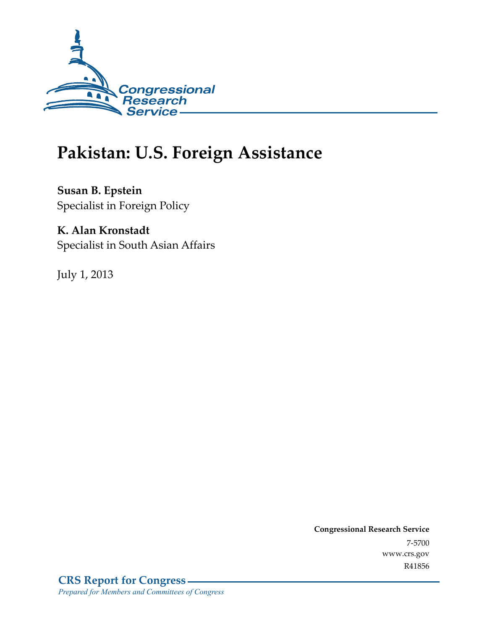

# **Pakistan: U.S. Foreign Assistance**

**Susan B. Epstein**  Specialist in Foreign Policy

# **K. Alan Kronstadt**

Specialist in South Asian Affairs

July 1, 2013

**Congressional Research Service**  7-5700 www.crs.gov R41856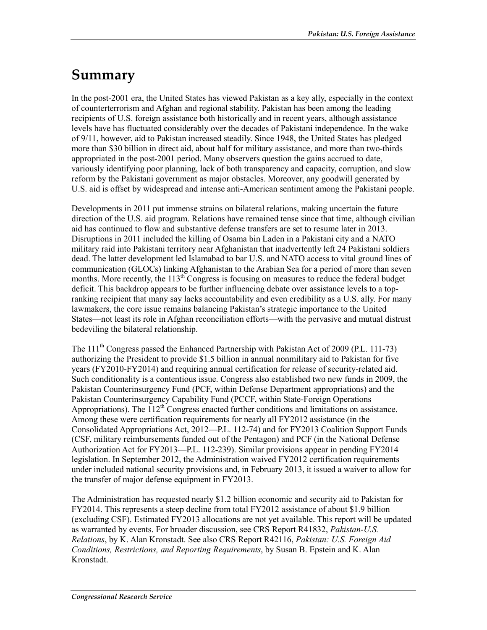# **Summary**

In the post-2001 era, the United States has viewed Pakistan as a key ally, especially in the context of counterterrorism and Afghan and regional stability. Pakistan has been among the leading recipients of U.S. foreign assistance both historically and in recent years, although assistance levels have has fluctuated considerably over the decades of Pakistani independence. In the wake of 9/11, however, aid to Pakistan increased steadily. Since 1948, the United States has pledged more than \$30 billion in direct aid, about half for military assistance, and more than two-thirds appropriated in the post-2001 period. Many observers question the gains accrued to date, variously identifying poor planning, lack of both transparency and capacity, corruption, and slow reform by the Pakistani government as major obstacles. Moreover, any goodwill generated by U.S. aid is offset by widespread and intense anti-American sentiment among the Pakistani people.

Developments in 2011 put immense strains on bilateral relations, making uncertain the future direction of the U.S. aid program. Relations have remained tense since that time, although civilian aid has continued to flow and substantive defense transfers are set to resume later in 2013. Disruptions in 2011 included the killing of Osama bin Laden in a Pakistani city and a NATO military raid into Pakistani territory near Afghanistan that inadvertently left 24 Pakistani soldiers dead. The latter development led Islamabad to bar U.S. and NATO access to vital ground lines of communication (GLOCs) linking Afghanistan to the Arabian Sea for a period of more than seven months. More recently, the  $113<sup>th</sup>$  Congress is focusing on measures to reduce the federal budget deficit. This backdrop appears to be further influencing debate over assistance levels to a topranking recipient that many say lacks accountability and even credibility as a U.S. ally. For many lawmakers, the core issue remains balancing Pakistan's strategic importance to the United States—not least its role in Afghan reconciliation efforts—with the pervasive and mutual distrust bedeviling the bilateral relationship.

The  $111<sup>th</sup>$  Congress passed the Enhanced Partnership with Pakistan Act of 2009 (P.L. 111-73) authorizing the President to provide \$1.5 billion in annual nonmilitary aid to Pakistan for five years (FY2010-FY2014) and requiring annual certification for release of security-related aid. Such conditionality is a contentious issue. Congress also established two new funds in 2009, the Pakistan Counterinsurgency Fund (PCF, within Defense Department appropriations) and the Pakistan Counterinsurgency Capability Fund (PCCF, within State-Foreign Operations Appropriations). The  $112<sup>th</sup>$  Congress enacted further conditions and limitations on assistance. Among these were certification requirements for nearly all FY2012 assistance (in the Consolidated Appropriations Act, 2012—P.L. 112-74) and for FY2013 Coalition Support Funds (CSF, military reimbursements funded out of the Pentagon) and PCF (in the National Defense Authorization Act for FY2013—P.L. 112-239). Similar provisions appear in pending FY2014 legislation. In September 2012, the Administration waived FY2012 certification requirements under included national security provisions and, in February 2013, it issued a waiver to allow for the transfer of major defense equipment in FY2013.

The Administration has requested nearly \$1.2 billion economic and security aid to Pakistan for FY2014. This represents a steep decline from total FY2012 assistance of about \$1.9 billion (excluding CSF). Estimated FY2013 allocations are not yet available. This report will be updated as warranted by events. For broader discussion, see CRS Report R41832, *Pakistan-U.S. Relations*, by K. Alan Kronstadt. See also CRS Report R42116, *Pakistan: U.S. Foreign Aid Conditions, Restrictions, and Reporting Requirements*, by Susan B. Epstein and K. Alan Kronstadt.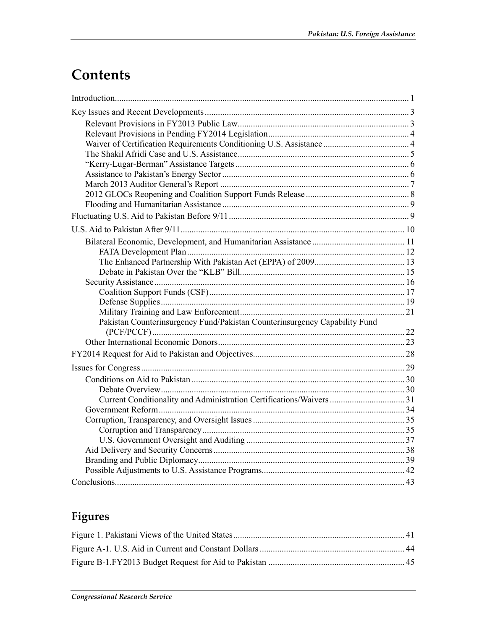# **Contents**

| Pakistan Counterinsurgency Fund/Pakistan Counterinsurgency Capability Fund |  |
|----------------------------------------------------------------------------|--|
|                                                                            |  |
|                                                                            |  |
|                                                                            |  |
|                                                                            |  |
|                                                                            |  |
|                                                                            |  |
|                                                                            |  |
|                                                                            |  |
|                                                                            |  |
|                                                                            |  |
|                                                                            |  |
|                                                                            |  |
|                                                                            |  |
|                                                                            |  |
|                                                                            |  |

# **Figures**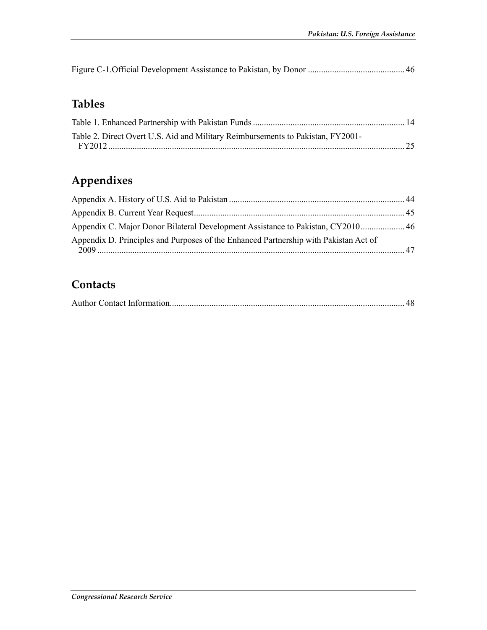|--|--|--|--|--|

# **Tables**

| Table 2. Direct Overt U.S. Aid and Military Reimbursements to Pakistan, FY2001- |  |
|---------------------------------------------------------------------------------|--|
|                                                                                 |  |
|                                                                                 |  |

# **Appendixes**

| Appendix C. Major Donor Bilateral Development Assistance to Pakistan, CY2010 46      |  |
|--------------------------------------------------------------------------------------|--|
| Appendix D. Principles and Purposes of the Enhanced Partnership with Pakistan Act of |  |

## **Contacts**

|--|--|--|--|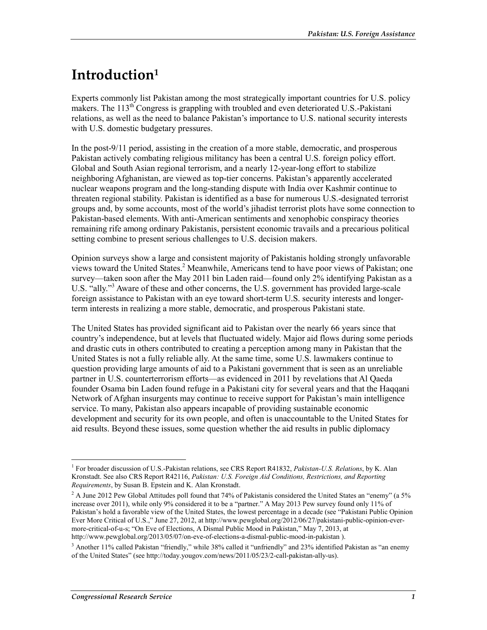# **Introduction1**

Experts commonly list Pakistan among the most strategically important countries for U.S. policy makers. The 113<sup>th</sup> Congress is grappling with troubled and even deteriorated U.S.-Pakistani relations, as well as the need to balance Pakistan's importance to U.S. national security interests with U.S. domestic budgetary pressures.

In the post-9/11 period, assisting in the creation of a more stable, democratic, and prosperous Pakistan actively combating religious militancy has been a central U.S. foreign policy effort. Global and South Asian regional terrorism, and a nearly 12-year-long effort to stabilize neighboring Afghanistan, are viewed as top-tier concerns. Pakistan's apparently accelerated nuclear weapons program and the long-standing dispute with India over Kashmir continue to threaten regional stability. Pakistan is identified as a base for numerous U.S.-designated terrorist groups and, by some accounts, most of the world's jihadist terrorist plots have some connection to Pakistan-based elements. With anti-American sentiments and xenophobic conspiracy theories remaining rife among ordinary Pakistanis, persistent economic travails and a precarious political setting combine to present serious challenges to U.S. decision makers.

Opinion surveys show a large and consistent majority of Pakistanis holding strongly unfavorable views toward the United States.<sup>2</sup> Meanwhile, Americans tend to have poor views of Pakistan; one survey—taken soon after the May 2011 bin Laden raid—found only 2% identifying Pakistan as a U.S. "ally."<sup>3</sup> Aware of these and other concerns, the U.S. government has provided large-scale foreign assistance to Pakistan with an eye toward short-term U.S. security interests and longerterm interests in realizing a more stable, democratic, and prosperous Pakistani state.

The United States has provided significant aid to Pakistan over the nearly 66 years since that country's independence, but at levels that fluctuated widely. Major aid flows during some periods and drastic cuts in others contributed to creating a perception among many in Pakistan that the United States is not a fully reliable ally. At the same time, some U.S. lawmakers continue to question providing large amounts of aid to a Pakistani government that is seen as an unreliable partner in U.S. counterterrorism efforts—as evidenced in 2011 by revelations that Al Qaeda founder Osama bin Laden found refuge in a Pakistani city for several years and that the Haqqani Network of Afghan insurgents may continue to receive support for Pakistan's main intelligence service. To many, Pakistan also appears incapable of providing sustainable economic development and security for its own people, and often is unaccountable to the United States for aid results. Beyond these issues, some question whether the aid results in public diplomacy

<u>.</u>

<sup>1</sup> For broader discussion of U.S.-Pakistan relations, see CRS Report R41832, *Pakistan-U.S. Relations*, by K. Alan Kronstadt. See also CRS Report R42116, *Pakistan: U.S. Foreign Aid Conditions, Restrictions, and Reporting Requirements*, by Susan B. Epstein and K. Alan Kronstadt.

 $2$  A June 2012 Pew Global Attitudes poll found that 74% of Pakistanis considered the United States an "enemy" (a 5% increase over 2011), while only 9% considered it to be a "partner." A May 2013 Pew survey found only 11% of Pakistan's hold a favorable view of the United States, the lowest percentage in a decade (see "Pakistani Public Opinion Ever More Critical of U.S.," June 27, 2012, at http://www.pewglobal.org/2012/06/27/pakistani-public-opinion-evermore-critical-of-u-s; "On Eve of Elections, A Dismal Public Mood in Pakistan," May 7, 2013, at http://www.pewglobal.org/2013/05/07/on-eve-of-elections-a-dismal-public-mood-in-pakistan ).

<sup>&</sup>lt;sup>3</sup> Another 11% called Pakistan "friendly," while 38% called it "unfriendly" and 23% identified Pakistan as "an enemy of the United States" (see http://today.yougov.com/news/2011/05/23/2-call-pakistan-ally-us).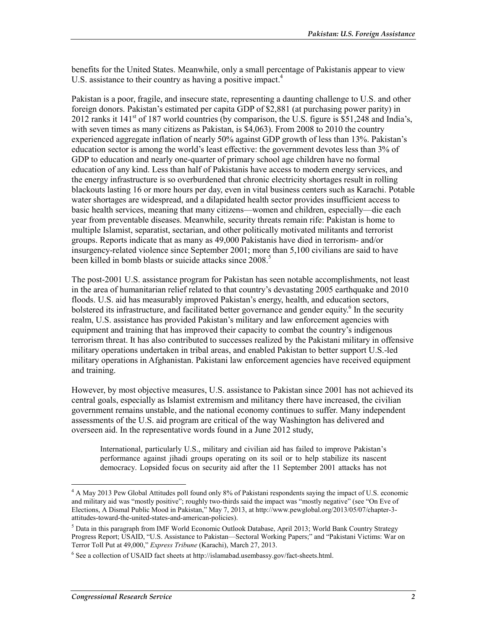benefits for the United States. Meanwhile, only a small percentage of Pakistanis appear to view U.S. assistance to their country as having a positive impact.<sup>4</sup>

Pakistan is a poor, fragile, and insecure state, representing a daunting challenge to U.S. and other foreign donors. Pakistan's estimated per capita GDP of \$2,881 (at purchasing power parity) in 2012 ranks it  $141<sup>st</sup>$  of 187 world countries (by comparison, the U.S. figure is \$51,248 and India's, with seven times as many citizens as Pakistan, is \$4,063). From 2008 to 2010 the country experienced aggregate inflation of nearly 50% against GDP growth of less than 13%. Pakistan's education sector is among the world's least effective: the government devotes less than 3% of GDP to education and nearly one-quarter of primary school age children have no formal education of any kind. Less than half of Pakistanis have access to modern energy services, and the energy infrastructure is so overburdened that chronic electricity shortages result in rolling blackouts lasting 16 or more hours per day, even in vital business centers such as Karachi. Potable water shortages are widespread, and a dilapidated health sector provides insufficient access to basic health services, meaning that many citizens—women and children, especially—die each year from preventable diseases. Meanwhile, security threats remain rife: Pakistan is home to multiple Islamist, separatist, sectarian, and other politically motivated militants and terrorist groups. Reports indicate that as many as 49,000 Pakistanis have died in terrorism- and/or insurgency-related violence since September 2001; more than 5,100 civilians are said to have been killed in bomb blasts or suicide attacks since 2008.<sup>5</sup>

The post-2001 U.S. assistance program for Pakistan has seen notable accomplishments, not least in the area of humanitarian relief related to that country's devastating 2005 earthquake and 2010 floods. U.S. aid has measurably improved Pakistan's energy, health, and education sectors, bolstered its infrastructure, and facilitated better governance and gender equity.<sup>6</sup> In the security realm, U.S. assistance has provided Pakistan's military and law enforcement agencies with equipment and training that has improved their capacity to combat the country's indigenous terrorism threat. It has also contributed to successes realized by the Pakistani military in offensive military operations undertaken in tribal areas, and enabled Pakistan to better support U.S.-led military operations in Afghanistan. Pakistani law enforcement agencies have received equipment and training.

However, by most objective measures, U.S. assistance to Pakistan since 2001 has not achieved its central goals, especially as Islamist extremism and militancy there have increased, the civilian government remains unstable, and the national economy continues to suffer. Many independent assessments of the U.S. aid program are critical of the way Washington has delivered and overseen aid. In the representative words found in a June 2012 study,

International, particularly U.S., military and civilian aid has failed to improve Pakistan's performance against jihadi groups operating on its soil or to help stabilize its nascent democracy. Lopsided focus on security aid after the 11 September 2001 attacks has not

<sup>&</sup>lt;sup>4</sup> A May 2013 Pew Global Attitudes poll found only 8% of Pakistani respondents saying the impact of U.S. economic and military aid was "mostly positive"; roughly two-thirds said the impact was "mostly negative" (see "On Eve of Elections, A Dismal Public Mood in Pakistan," May 7, 2013, at http://www.pewglobal.org/2013/05/07/chapter-3 attitudes-toward-the-united-states-and-american-policies).

<sup>&</sup>lt;sup>5</sup> Data in this paragraph from IMF World Economic Outlook Database, April 2013; World Bank Country Strategy Progress Report; USAID, "U.S. Assistance to Pakistan—Sectoral Working Papers;" and "Pakistani Victims: War on Terror Toll Put at 49,000," *Express Tribune* (Karachi), March 27, 2013.

<sup>&</sup>lt;sup>6</sup> See a collection of USAID fact sheets at http://islamabad.usembassy.gov/fact-sheets.html.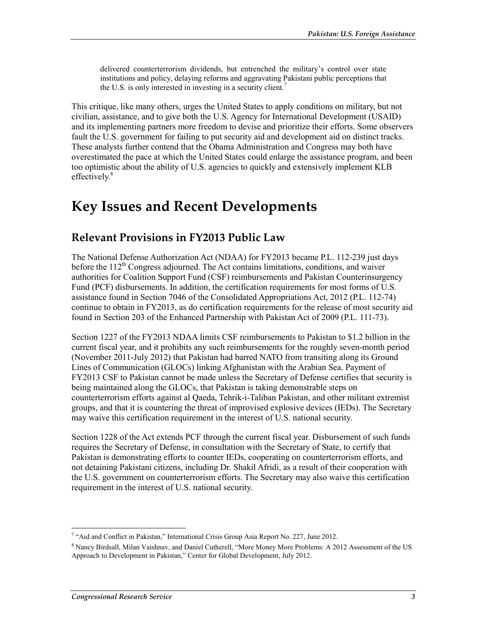delivered counterterrorism dividends, but entrenched the military's control over state institutions and policy, delaying reforms and aggravating Pakistani public perceptions that the U.S. is only interested in investing in a security client.<sup>7</sup>

This critique, like many others, urges the United States to apply conditions on military, but not civilian, assistance, and to give both the U.S. Agency for International Development (USAID) and its implementing partners more freedom to devise and prioritize their efforts. Some observers fault the U.S. government for failing to put security aid and development aid on distinct tracks. These analysts further contend that the Obama Administration and Congress may both have overestimated the pace at which the United States could enlarge the assistance program, and been too optimistic about the ability of U.S. agencies to quickly and extensively implement KLB effectively.<sup>8</sup>

# **Key Issues and Recent Developments**

## **Relevant Provisions in FY2013 Public Law**

The National Defense Authorization Act (NDAA) for FY2013 became P.L. 112-239 just days before the 112<sup>th</sup> Congress adjourned. The Act contains limitations, conditions, and waiver authorities for Coalition Support Fund (CSF) reimbursements and Pakistan Counterinsurgency Fund (PCF) disbursements. In addition, the certification requirements for most forms of U.S. assistance found in Section 7046 of the Consolidated Appropriations Act, 2012 (P.L. 112-74) continue to obtain in FY2013, as do certification requirements for the release of most security aid found in Section 203 of the Enhanced Partnership with Pakistan Act of 2009 (P.L. 111-73).

Section 1227 of the FY2013 NDAA limits CSF reimbursements to Pakistan to \$1.2 billion in the current fiscal year, and it prohibits any such reimbursements for the roughly seven-month period (November 2011-July 2012) that Pakistan had barred NATO from transiting along its Ground Lines of Communication (GLOCs) linking Afghanistan with the Arabian Sea. Payment of FY2013 CSF to Pakistan cannot be made unless the Secretary of Defense certifies that security is being maintained along the GLOCs, that Pakistan is taking demonstrable steps on counterterrorism efforts against al Qaeda, Tehrik-i-Taliban Pakistan, and other militant extremist groups, and that it is countering the threat of improvised explosive devices (IEDs). The Secretary may waive this certification requirement in the interest of U.S. national security.

Section 1228 of the Act extends PCF through the current fiscal year. Disbursement of such funds requires the Secretary of Defense, in consultation with the Secretary of State, to certify that Pakistan is demonstrating efforts to counter IEDs, cooperating on counterterrorism efforts, and not detaining Pakistani citizens, including Dr. Shakil Afridi, as a result of their cooperation with the U.S. government on counterterrorism efforts. The Secretary may also waive this certification requirement in the interest of U.S. national security.

<sup>&</sup>lt;sup>7</sup> "Aid and Conflict in Pakistan," International Crisis Group Asia Report No. 227, June 2012.

<sup>&</sup>lt;sup>8</sup> Nancy Birdsall, Milan Vaishnav, and Daniel Cutherell, "More Money More Problems: A 2012 Assessment of the US Approach to Development in Pakistan," Center for Global Development, July 2012.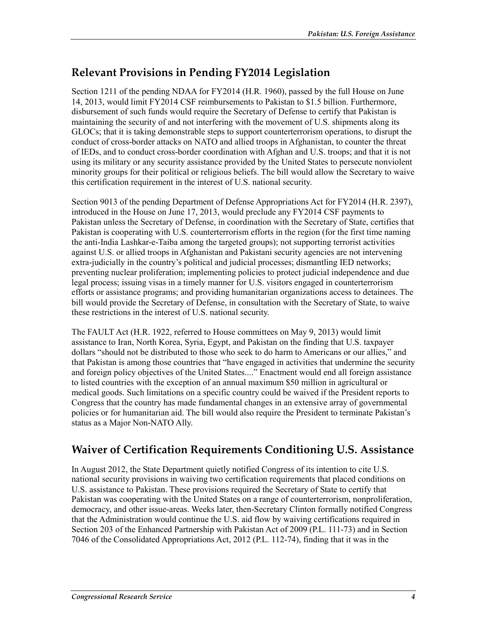# **Relevant Provisions in Pending FY2014 Legislation**

Section 1211 of the pending NDAA for FY2014 (H.R. 1960), passed by the full House on June 14, 2013, would limit FY2014 CSF reimbursements to Pakistan to \$1.5 billion. Furthermore, disbursement of such funds would require the Secretary of Defense to certify that Pakistan is maintaining the security of and not interfering with the movement of U.S. shipments along its GLOCs; that it is taking demonstrable steps to support counterterrorism operations, to disrupt the conduct of cross-border attacks on NATO and allied troops in Afghanistan, to counter the threat of IEDs, and to conduct cross-border coordination with Afghan and U.S. troops; and that it is not using its military or any security assistance provided by the United States to persecute nonviolent minority groups for their political or religious beliefs. The bill would allow the Secretary to waive this certification requirement in the interest of U.S. national security.

Section 9013 of the pending Department of Defense Appropriations Act for FY2014 (H.R. 2397), introduced in the House on June 17, 2013, would preclude any FY2014 CSF payments to Pakistan unless the Secretary of Defense, in coordination with the Secretary of State, certifies that Pakistan is cooperating with U.S. counterterrorism efforts in the region (for the first time naming the anti-India Lashkar-e-Taiba among the targeted groups); not supporting terrorist activities against U.S. or allied troops in Afghanistan and Pakistani security agencies are not intervening extra-judicially in the country's political and judicial processes; dismantling IED networks; preventing nuclear proliferation; implementing policies to protect judicial independence and due legal process; issuing visas in a timely manner for U.S. visitors engaged in counterterrorism efforts or assistance programs; and providing humanitarian organizations access to detainees. The bill would provide the Secretary of Defense, in consultation with the Secretary of State, to waive these restrictions in the interest of U.S. national security.

The FAULT Act (H.R. 1922, referred to House committees on May 9, 2013) would limit assistance to Iran, North Korea, Syria, Egypt, and Pakistan on the finding that U.S. taxpayer dollars "should not be distributed to those who seek to do harm to Americans or our allies," and that Pakistan is among those countries that "have engaged in activities that undermine the security and foreign policy objectives of the United States...." Enactment would end all foreign assistance to listed countries with the exception of an annual maximum \$50 million in agricultural or medical goods. Such limitations on a specific country could be waived if the President reports to Congress that the country has made fundamental changes in an extensive array of governmental policies or for humanitarian aid. The bill would also require the President to terminate Pakistan's status as a Major Non-NATO Ally.

# **Waiver of Certification Requirements Conditioning U.S. Assistance**

In August 2012, the State Department quietly notified Congress of its intention to cite U.S. national security provisions in waiving two certification requirements that placed conditions on U.S. assistance to Pakistan. These provisions required the Secretary of State to certify that Pakistan was cooperating with the United States on a range of counterterrorism, nonproliferation, democracy, and other issue-areas. Weeks later, then-Secretary Clinton formally notified Congress that the Administration would continue the U.S. aid flow by waiving certifications required in Section 203 of the Enhanced Partnership with Pakistan Act of 2009 (P.L. 111-73) and in Section 7046 of the Consolidated Appropriations Act, 2012 (P.L. 112-74), finding that it was in the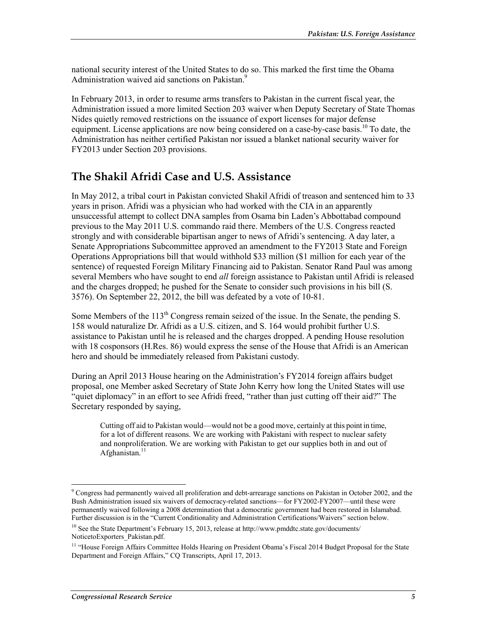national security interest of the United States to do so. This marked the first time the Obama Administration waived aid sanctions on Pakistan.<sup>9</sup>

In February 2013, in order to resume arms transfers to Pakistan in the current fiscal year, the Administration issued a more limited Section 203 waiver when Deputy Secretary of State Thomas Nides quietly removed restrictions on the issuance of export licenses for major defense equipment. License applications are now being considered on a case-by-case basis.<sup>10</sup> To date, the Administration has neither certified Pakistan nor issued a blanket national security waiver for FY2013 under Section 203 provisions.

## **The Shakil Afridi Case and U.S. Assistance**

In May 2012, a tribal court in Pakistan convicted Shakil Afridi of treason and sentenced him to 33 years in prison. Afridi was a physician who had worked with the CIA in an apparently unsuccessful attempt to collect DNA samples from Osama bin Laden's Abbottabad compound previous to the May 2011 U.S. commando raid there. Members of the U.S. Congress reacted strongly and with considerable bipartisan anger to news of Afridi's sentencing. A day later, a Senate Appropriations Subcommittee approved an amendment to the FY2013 State and Foreign Operations Appropriations bill that would withhold \$33 million (\$1 million for each year of the sentence) of requested Foreign Military Financing aid to Pakistan. Senator Rand Paul was among several Members who have sought to end *all* foreign assistance to Pakistan until Afridi is released and the charges dropped; he pushed for the Senate to consider such provisions in his bill (S. 3576). On September 22, 2012, the bill was defeated by a vote of 10-81.

Some Members of the  $113<sup>th</sup>$  Congress remain seized of the issue. In the Senate, the pending S. 158 would naturalize Dr. Afridi as a U.S. citizen, and S. 164 would prohibit further U.S. assistance to Pakistan until he is released and the charges dropped. A pending House resolution with 18 cosponsors (H.Res. 86) would express the sense of the House that Afridi is an American hero and should be immediately released from Pakistani custody.

During an April 2013 House hearing on the Administration's FY2014 foreign affairs budget proposal, one Member asked Secretary of State John Kerry how long the United States will use "quiet diplomacy" in an effort to see Afridi freed, "rather than just cutting off their aid?" The Secretary responded by saying,

Cutting off aid to Pakistan would—would not be a good move, certainly at this point in time, for a lot of different reasons. We are working with Pakistani with respect to nuclear safety and nonproliferation. We are working with Pakistan to get our supplies both in and out of Afghanistan. $11$ 

<sup>1</sup> <sup>9</sup> Congress had permanently waived all proliferation and debt-arrearage sanctions on Pakistan in October 2002, and the Bush Administration issued six waivers of democracy-related sanctions—for FY2002-FY2007—until these were permanently waived following a 2008 determination that a democratic government had been restored in Islamabad. Further discussion is in the "Current Conditionality and Administration Certifications/Waivers" section below.

<sup>&</sup>lt;sup>10</sup> See the State Department's February 15, 2013, release at http://www.pmddtc.state.gov/documents/ NoticetoExporters\_Pakistan.pdf.

<sup>&</sup>lt;sup>11</sup> "House Foreign Affairs Committee Holds Hearing on President Obama's Fiscal 2014 Budget Proposal for the State Department and Foreign Affairs," CQ Transcripts, April 17, 2013.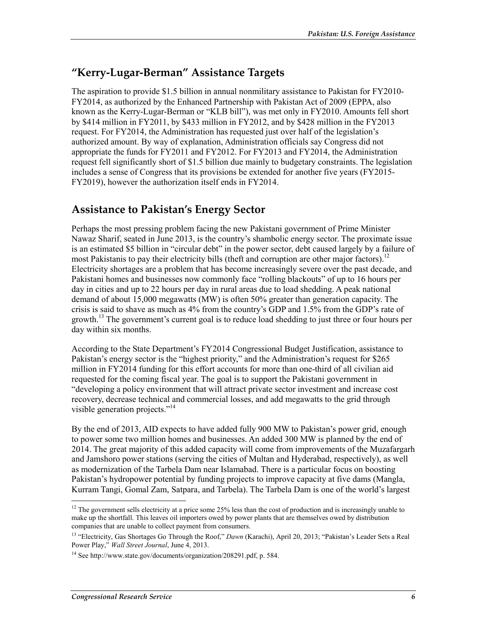## **"Kerry-Lugar-Berman" Assistance Targets**

The aspiration to provide \$1.5 billion in annual nonmilitary assistance to Pakistan for FY2010- FY2014, as authorized by the Enhanced Partnership with Pakistan Act of 2009 (EPPA, also known as the Kerry-Lugar-Berman or "KLB bill"), was met only in FY2010. Amounts fell short by \$414 million in FY2011, by \$433 million in FY2012, and by \$428 million in the FY2013 request. For FY2014, the Administration has requested just over half of the legislation's authorized amount. By way of explanation, Administration officials say Congress did not appropriate the funds for FY2011 and FY2012. For FY2013 and FY2014, the Administration request fell significantly short of \$1.5 billion due mainly to budgetary constraints. The legislation includes a sense of Congress that its provisions be extended for another five years (FY2015- FY2019), however the authorization itself ends in FY2014.

## **Assistance to Pakistan's Energy Sector**

Perhaps the most pressing problem facing the new Pakistani government of Prime Minister Nawaz Sharif, seated in June 2013, is the country's shambolic energy sector. The proximate issue is an estimated \$5 billion in "circular debt" in the power sector, debt caused largely by a failure of most Pakistanis to pay their electricity bills (theft and corruption are other major factors).<sup>12</sup> Electricity shortages are a problem that has become increasingly severe over the past decade, and Pakistani homes and businesses now commonly face "rolling blackouts" of up to 16 hours per day in cities and up to 22 hours per day in rural areas due to load shedding. A peak national demand of about 15,000 megawatts (MW) is often 50% greater than generation capacity. The crisis is said to shave as much as 4% from the country's GDP and 1.5% from the GDP's rate of growth.<sup>13</sup> The government's current goal is to reduce load shedding to just three or four hours per day within six months.

According to the State Department's FY2014 Congressional Budget Justification, assistance to Pakistan's energy sector is the "highest priority," and the Administration's request for \$265 million in FY2014 funding for this effort accounts for more than one-third of all civilian aid requested for the coming fiscal year. The goal is to support the Pakistani government in "developing a policy environment that will attract private sector investment and increase cost recovery, decrease technical and commercial losses, and add megawatts to the grid through visible generation projects."<sup>14</sup>

By the end of 2013, AID expects to have added fully 900 MW to Pakistan's power grid, enough to power some two million homes and businesses. An added 300 MW is planned by the end of 2014. The great majority of this added capacity will come from improvements of the Muzafargarh and Jamshoro power stations (serving the cities of Multan and Hyderabad, respectively), as well as modernization of the Tarbela Dam near Islamabad. There is a particular focus on boosting Pakistan's hydropower potential by funding projects to improve capacity at five dams (Mangla, Kurram Tangi, Gomal Zam, Satpara, and Tarbela). The Tarbela Dam is one of the world's largest

<sup>&</sup>lt;sup>12</sup> The government sells electricity at a price some  $25\%$  less than the cost of production and is increasingly unable to make up the shortfall. This leaves oil importers owed by power plants that are themselves owed by distribution companies that are unable to collect payment from consumers.

<sup>13 &</sup>quot;Electricity, Gas Shortages Go Through the Roof," *Dawn* (Karachi), April 20, 2013; "Pakistan's Leader Sets a Real Power Play," *Wall Street Journal*, June 4, 2013.

<sup>&</sup>lt;sup>14</sup> See http://www.state.gov/documents/organization/208291.pdf, p. 584.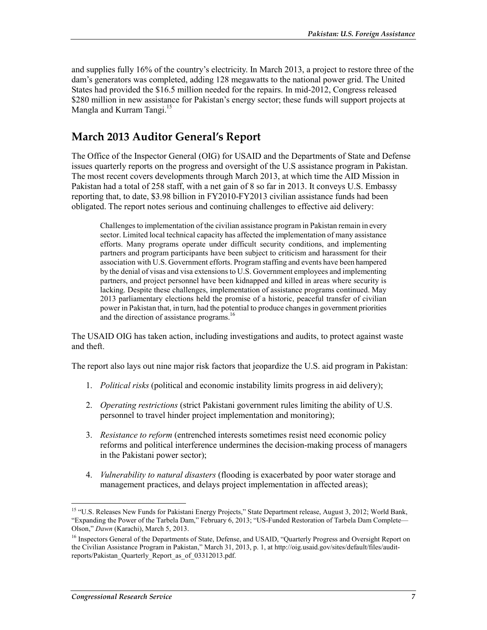and supplies fully 16% of the country's electricity. In March 2013, a project to restore three of the dam's generators was completed, adding 128 megawatts to the national power grid. The United States had provided the \$16.5 million needed for the repairs. In mid-2012, Congress released \$280 million in new assistance for Pakistan's energy sector; these funds will support projects at Mangla and Kurram Tangi.<sup>15</sup>

## **March 2013 Auditor General's Report**

The Office of the Inspector General (OIG) for USAID and the Departments of State and Defense issues quarterly reports on the progress and oversight of the U.S assistance program in Pakistan. The most recent covers developments through March 2013, at which time the AID Mission in Pakistan had a total of 258 staff, with a net gain of 8 so far in 2013. It conveys U.S. Embassy reporting that, to date, \$3.98 billion in FY2010-FY2013 civilian assistance funds had been obligated. The report notes serious and continuing challenges to effective aid delivery:

Challenges to implementation of the civilian assistance program in Pakistan remain in every sector. Limited local technical capacity has affected the implementation of many assistance efforts. Many programs operate under difficult security conditions, and implementing partners and program participants have been subject to criticism and harassment for their association with U.S. Government efforts. Program staffing and events have been hampered by the denial of visas and visa extensions to U.S. Government employees and implementing partners, and project personnel have been kidnapped and killed in areas where security is lacking. Despite these challenges, implementation of assistance programs continued. May 2013 parliamentary elections held the promise of a historic, peaceful transfer of civilian power in Pakistan that, in turn, had the potential to produce changes in government priorities and the direction of assistance programs.<sup>16</sup>

The USAID OIG has taken action, including investigations and audits, to protect against waste and theft.

The report also lays out nine major risk factors that jeopardize the U.S. aid program in Pakistan:

- 1. *Political risks* (political and economic instability limits progress in aid delivery);
- 2. *Operating restrictions* (strict Pakistani government rules limiting the ability of U.S. personnel to travel hinder project implementation and monitoring);
- 3. *Resistance to reform* (entrenched interests sometimes resist need economic policy reforms and political interference undermines the decision-making process of managers in the Pakistani power sector);
- 4. *Vulnerability to natural disasters* (flooding is exacerbated by poor water storage and management practices, and delays project implementation in affected areas);

<sup>1</sup> <sup>15</sup> "U.S. Releases New Funds for Pakistani Energy Projects," State Department release, August 3, 2012; World Bank, "Expanding the Power of the Tarbela Dam," February 6, 2013; "US-Funded Restoration of Tarbela Dam Complete— Olson," *Dawn* (Karachi), March 5, 2013.

<sup>&</sup>lt;sup>16</sup> Inspectors General of the Departments of State, Defense, and USAID, "Quarterly Progress and Oversight Report on the Civilian Assistance Program in Pakistan," March 31, 2013, p. 1, at http://oig.usaid.gov/sites/default/files/auditreports/Pakistan\_Quarterly\_Report\_as\_of\_03312013.pdf.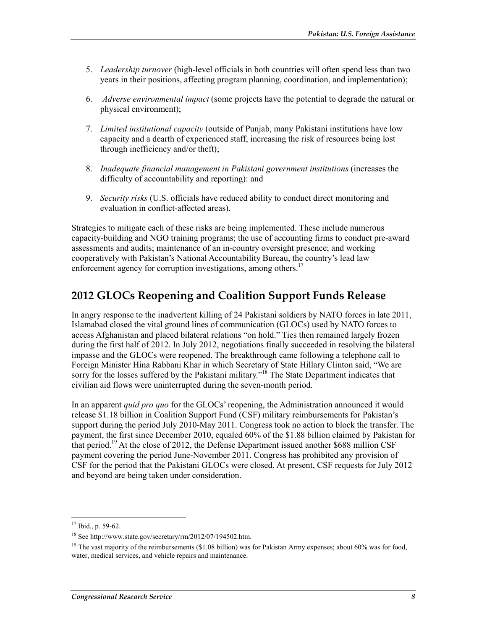- 5. *Leadership turnover* (high-level officials in both countries will often spend less than two years in their positions, affecting program planning, coordination, and implementation);
- 6. *Adverse environmental impact* (some projects have the potential to degrade the natural or physical environment);
- 7. *Limited institutional capacity* (outside of Punjab, many Pakistani institutions have low capacity and a dearth of experienced staff, increasing the risk of resources being lost through inefficiency and/or theft);
- 8. *Inadequate financial management in Pakistani government institutions* (increases the difficulty of accountability and reporting): and
- 9. *Security risks* (U.S. officials have reduced ability to conduct direct monitoring and evaluation in conflict-affected areas).

Strategies to mitigate each of these risks are being implemented. These include numerous capacity-building and NGO training programs; the use of accounting firms to conduct pre-award assessments and audits; maintenance of an in-country oversight presence; and working cooperatively with Pakistan's National Accountability Bureau, the country's lead law enforcement agency for corruption investigations, among others.<sup>17</sup>

## **2012 GLOCs Reopening and Coalition Support Funds Release**

In angry response to the inadvertent killing of 24 Pakistani soldiers by NATO forces in late 2011, Islamabad closed the vital ground lines of communication (GLOCs) used by NATO forces to access Afghanistan and placed bilateral relations "on hold." Ties then remained largely frozen during the first half of 2012. In July 2012, negotiations finally succeeded in resolving the bilateral impasse and the GLOCs were reopened. The breakthrough came following a telephone call to Foreign Minister Hina Rabbani Khar in which Secretary of State Hillary Clinton said, "We are sorry for the losses suffered by the Pakistani military."<sup>18</sup> The State Department indicates that civilian aid flows were uninterrupted during the seven-month period.

In an apparent *quid pro quo* for the GLOCs' reopening, the Administration announced it would release \$1.18 billion in Coalition Support Fund (CSF) military reimbursements for Pakistan's support during the period July 2010-May 2011. Congress took no action to block the transfer. The payment, the first since December 2010, equaled 60% of the \$1.88 billion claimed by Pakistan for that period.19 At the close of 2012, the Defense Department issued another \$688 million CSF payment covering the period June-November 2011. Congress has prohibited any provision of CSF for the period that the Pakistani GLOCs were closed. At present, CSF requests for July 2012 and beyond are being taken under consideration.

 $17$  Ibid., p. 59-62.

<sup>18</sup> See http://www.state.gov/secretary/rm/2012/07/194502.htm.

<sup>&</sup>lt;sup>19</sup> The vast majority of the reimbursements (\$1.08 billion) was for Pakistan Army expenses; about 60% was for food, water, medical services, and vehicle repairs and maintenance.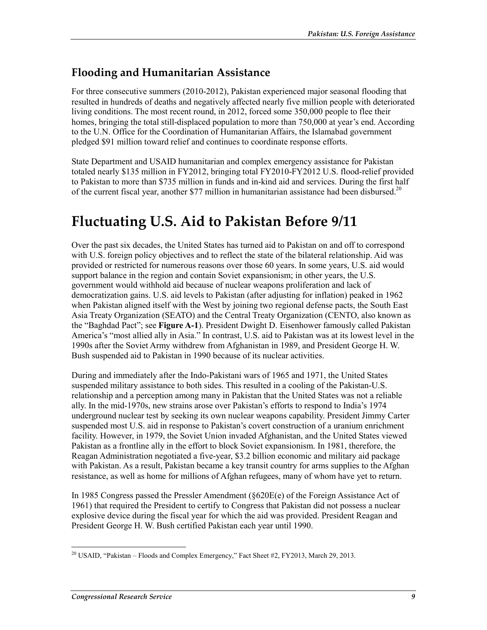## **Flooding and Humanitarian Assistance**

For three consecutive summers (2010-2012), Pakistan experienced major seasonal flooding that resulted in hundreds of deaths and negatively affected nearly five million people with deteriorated living conditions. The most recent round, in 2012, forced some 350,000 people to flee their homes, bringing the total still-displaced population to more than 750,000 at year's end. According to the U.N. Office for the Coordination of Humanitarian Affairs, the Islamabad government pledged \$91 million toward relief and continues to coordinate response efforts.

State Department and USAID humanitarian and complex emergency assistance for Pakistan totaled nearly \$135 million in FY2012, bringing total FY2010-FY2012 U.S. flood-relief provided to Pakistan to more than \$735 million in funds and in-kind aid and services. During the first half of the current fiscal year, another \$77 million in humanitarian assistance had been disbursed.<sup>20</sup>

# **Fluctuating U.S. Aid to Pakistan Before 9/11**

Over the past six decades, the United States has turned aid to Pakistan on and off to correspond with U.S. foreign policy objectives and to reflect the state of the bilateral relationship. Aid was provided or restricted for numerous reasons over those 60 years. In some years, U.S. aid would support balance in the region and contain Soviet expansionism; in other years, the U.S. government would withhold aid because of nuclear weapons proliferation and lack of democratization gains. U.S. aid levels to Pakistan (after adjusting for inflation) peaked in 1962 when Pakistan aligned itself with the West by joining two regional defense pacts, the South East Asia Treaty Organization (SEATO) and the Central Treaty Organization (CENTO, also known as the "Baghdad Pact"; see **Figure A-1**). President Dwight D. Eisenhower famously called Pakistan America's "most allied ally in Asia." In contrast, U.S. aid to Pakistan was at its lowest level in the 1990s after the Soviet Army withdrew from Afghanistan in 1989, and President George H. W. Bush suspended aid to Pakistan in 1990 because of its nuclear activities.

During and immediately after the Indo-Pakistani wars of 1965 and 1971, the United States suspended military assistance to both sides. This resulted in a cooling of the Pakistan-U.S. relationship and a perception among many in Pakistan that the United States was not a reliable ally. In the mid-1970s, new strains arose over Pakistan's efforts to respond to India's 1974 underground nuclear test by seeking its own nuclear weapons capability. President Jimmy Carter suspended most U.S. aid in response to Pakistan's covert construction of a uranium enrichment facility. However, in 1979, the Soviet Union invaded Afghanistan, and the United States viewed Pakistan as a frontline ally in the effort to block Soviet expansionism. In 1981, therefore, the Reagan Administration negotiated a five-year, \$3.2 billion economic and military aid package with Pakistan. As a result, Pakistan became a key transit country for arms supplies to the Afghan resistance, as well as home for millions of Afghan refugees, many of whom have yet to return.

In 1985 Congress passed the Pressler Amendment (§620E(e) of the Foreign Assistance Act of 1961) that required the President to certify to Congress that Pakistan did not possess a nuclear explosive device during the fiscal year for which the aid was provided. President Reagan and President George H. W. Bush certified Pakistan each year until 1990.

<sup>&</sup>lt;u>.</u> <sup>20</sup> USAID, "Pakistan – Floods and Complex Emergency," Fact Sheet #2, FY2013, March 29, 2013.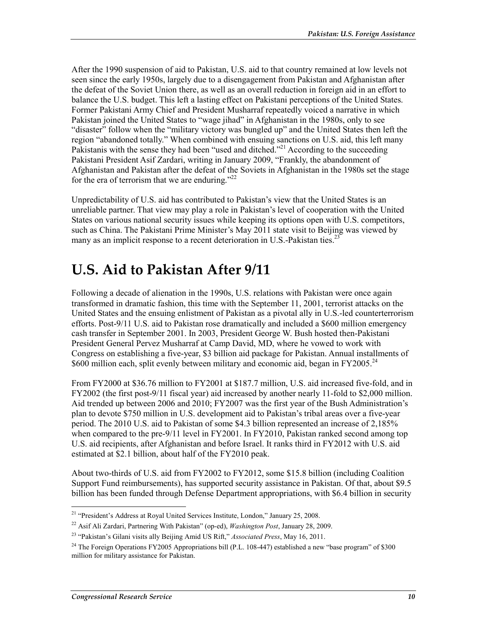After the 1990 suspension of aid to Pakistan, U.S. aid to that country remained at low levels not seen since the early 1950s, largely due to a disengagement from Pakistan and Afghanistan after the defeat of the Soviet Union there, as well as an overall reduction in foreign aid in an effort to balance the U.S. budget. This left a lasting effect on Pakistani perceptions of the United States. Former Pakistani Army Chief and President Musharraf repeatedly voiced a narrative in which Pakistan joined the United States to "wage jihad" in Afghanistan in the 1980s, only to see "disaster" follow when the "military victory was bungled up" and the United States then left the region "abandoned totally." When combined with ensuing sanctions on U.S. aid, this left many Pakistanis with the sense they had been "used and ditched."<sup>21</sup> According to the succeeding Pakistani President Asif Zardari, writing in January 2009, "Frankly, the abandonment of Afghanistan and Pakistan after the defeat of the Soviets in Afghanistan in the 1980s set the stage for the era of terrorism that we are enduring."<sup>22</sup>

Unpredictability of U.S. aid has contributed to Pakistan's view that the United States is an unreliable partner. That view may play a role in Pakistan's level of cooperation with the United States on various national security issues while keeping its options open with U.S. competitors, such as China. The Pakistani Prime Minister's May 2011 state visit to Beijing was viewed by many as an implicit response to a recent deterioration in U.S.-Pakistan ties.<sup>23</sup>

# **U.S. Aid to Pakistan After 9/11**

Following a decade of alienation in the 1990s, U.S. relations with Pakistan were once again transformed in dramatic fashion, this time with the September 11, 2001, terrorist attacks on the United States and the ensuing enlistment of Pakistan as a pivotal ally in U.S.-led counterterrorism efforts. Post-9/11 U.S. aid to Pakistan rose dramatically and included a \$600 million emergency cash transfer in September 2001. In 2003, President George W. Bush hosted then-Pakistani President General Pervez Musharraf at Camp David, MD, where he vowed to work with Congress on establishing a five-year, \$3 billion aid package for Pakistan. Annual installments of \$600 million each, split evenly between military and economic aid, began in  $FY2005.^{24}$ 

From FY2000 at \$36.76 million to FY2001 at \$187.7 million, U.S. aid increased five-fold, and in FY2002 (the first post-9/11 fiscal year) aid increased by another nearly 11-fold to \$2,000 million. Aid trended up between 2006 and 2010; FY2007 was the first year of the Bush Administration's plan to devote \$750 million in U.S. development aid to Pakistan's tribal areas over a five-year period. The 2010 U.S. aid to Pakistan of some \$4.3 billion represented an increase of 2,185% when compared to the pre-9/11 level in FY2001. In FY2010, Pakistan ranked second among top U.S. aid recipients, after Afghanistan and before Israel. It ranks third in FY2012 with U.S. aid estimated at \$2.1 billion, about half of the FY2010 peak.

About two-thirds of U.S. aid from FY2002 to FY2012, some \$15.8 billion (including Coalition Support Fund reimbursements), has supported security assistance in Pakistan. Of that, about \$9.5 billion has been funded through Defense Department appropriations, with \$6.4 billion in security

<sup>1</sup> 21 "President's Address at Royal United Services Institute, London," January 25, 2008.

<sup>22</sup> Asif Ali Zardari, Partnering With Pakistan" (op-ed), *Washington Post*, January 28, 2009.

<sup>23 &</sup>quot;Pakistan's Gilani visits ally Beijing Amid US Rift," *Associated Press*, May 16, 2011.

<sup>&</sup>lt;sup>24</sup> The Foreign Operations FY2005 Appropriations bill (P.L. 108-447) established a new "base program" of \$300 million for military assistance for Pakistan.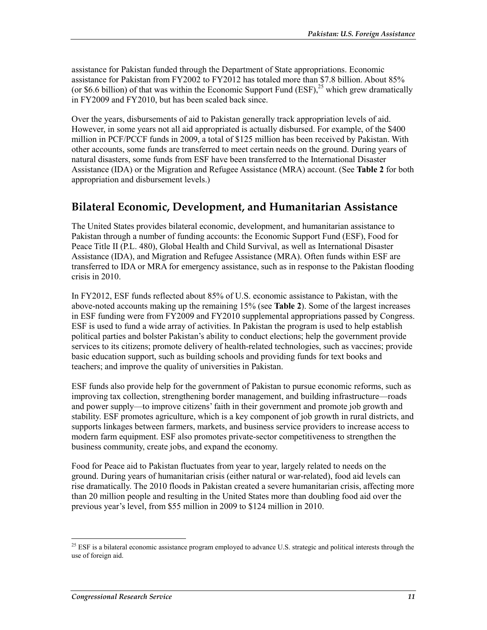assistance for Pakistan funded through the Department of State appropriations. Economic assistance for Pakistan from FY2002 to FY2012 has totaled more than \$7.8 billion. About 85% (or \$6.6 billion) of that was within the Economic Support Fund (ESF),  $2^5$  which grew dramatically in FY2009 and FY2010, but has been scaled back since.

Over the years, disbursements of aid to Pakistan generally track appropriation levels of aid. However, in some years not all aid appropriated is actually disbursed. For example, of the \$400 million in PCF/PCCF funds in 2009, a total of \$125 million has been received by Pakistan. With other accounts, some funds are transferred to meet certain needs on the ground. During years of natural disasters, some funds from ESF have been transferred to the International Disaster Assistance (IDA) or the Migration and Refugee Assistance (MRA) account. (See **Table 2** for both appropriation and disbursement levels.)

## **Bilateral Economic, Development, and Humanitarian Assistance**

The United States provides bilateral economic, development, and humanitarian assistance to Pakistan through a number of funding accounts: the Economic Support Fund (ESF), Food for Peace Title II (P.L. 480), Global Health and Child Survival, as well as International Disaster Assistance (IDA), and Migration and Refugee Assistance (MRA). Often funds within ESF are transferred to IDA or MRA for emergency assistance, such as in response to the Pakistan flooding crisis in 2010.

In FY2012, ESF funds reflected about 85% of U.S. economic assistance to Pakistan, with the above-noted accounts making up the remaining 15% (see **Table 2**). Some of the largest increases in ESF funding were from FY2009 and FY2010 supplemental appropriations passed by Congress. ESF is used to fund a wide array of activities. In Pakistan the program is used to help establish political parties and bolster Pakistan's ability to conduct elections; help the government provide services to its citizens; promote delivery of health-related technologies, such as vaccines; provide basic education support, such as building schools and providing funds for text books and teachers; and improve the quality of universities in Pakistan.

ESF funds also provide help for the government of Pakistan to pursue economic reforms, such as improving tax collection, strengthening border management, and building infrastructure—roads and power supply—to improve citizens' faith in their government and promote job growth and stability. ESF promotes agriculture, which is a key component of job growth in rural districts, and supports linkages between farmers, markets, and business service providers to increase access to modern farm equipment. ESF also promotes private-sector competitiveness to strengthen the business community, create jobs, and expand the economy.

Food for Peace aid to Pakistan fluctuates from year to year, largely related to needs on the ground. During years of humanitarian crisis (either natural or war-related), food aid levels can rise dramatically. The 2010 floods in Pakistan created a severe humanitarian crisis, affecting more than 20 million people and resulting in the United States more than doubling food aid over the previous year's level, from \$55 million in 2009 to \$124 million in 2010.

 $^{25}$  ESF is a bilateral economic assistance program employed to advance U.S. strategic and political interests through the use of foreign aid.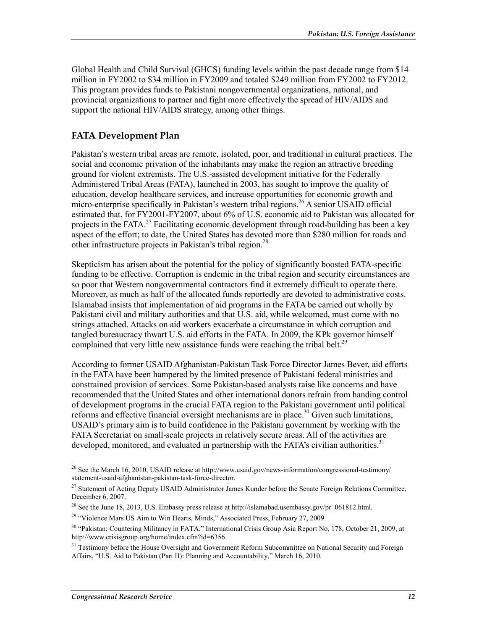Global Health and Child Survival (GHCS) funding levels within the past decade range from \$14 million in FY2002 to \$34 million in FY2009 and totaled \$249 million from FY2002 to FY2012. This program provides funds to Pakistani nongovernmental organizations, national, and provincial organizations to partner and fight more effectively the spread of HIV/AIDS and support the national HIV/AIDS strategy, among other things.

#### **FATA Development Plan**

Pakistan's western tribal areas are remote, isolated, poor, and traditional in cultural practices. The social and economic privation of the inhabitants may make the region an attractive breeding ground for violent extremists. The U.S.-assisted development initiative for the Federally Administered Tribal Areas (FATA), launched in 2003, has sought to improve the quality of education, develop healthcare services, and increase opportunities for economic growth and micro-enterprise specifically in Pakistan's western tribal regions.<sup>26</sup> A senior USAID official estimated that, for FY2001-FY2007, about 6% of U.S. economic aid to Pakistan was allocated for projects in the FATA.<sup>27</sup> Facilitating economic development through road-building has been a key aspect of the effort; to date, the United States has devoted more than \$280 million for roads and other infrastructure projects in Pakistan's tribal region.<sup>28</sup>

Skepticism has arisen about the potential for the policy of significantly boosted FATA-specific funding to be effective. Corruption is endemic in the tribal region and security circumstances are so poor that Western nongovernmental contractors find it extremely difficult to operate there. Moreover, as much as half of the allocated funds reportedly are devoted to administrative costs. Islamabad insists that implementation of aid programs in the FATA be carried out wholly by Pakistani civil and military authorities and that U.S. aid, while welcomed, must come with no strings attached. Attacks on aid workers exacerbate a circumstance in which corruption and tangled bureaucracy thwart U.S. aid efforts in the FATA. In 2009, the KPk governor himself complained that very little new assistance funds were reaching the tribal belt.<sup>29</sup>

According to former USAID Afghanistan-Pakistan Task Force Director James Bever, aid efforts in the FATA have been hampered by the limited presence of Pakistani federal ministries and constrained provision of services. Some Pakistan-based analysts raise like concerns and have recommended that the United States and other international donors refrain from handing control of development programs in the crucial FATA region to the Pakistani government until political reforms and effective financial oversight mechanisms are in place.<sup>30</sup> Given such limitations, USAID's primary aim is to build confidence in the Pakistani government by working with the FATA Secretariat on small-scale projects in relatively secure areas. All of the activities are developed, monitored, and evaluated in partnership with the FATA's civilian authorities.<sup>31</sup>

<u>.</u>

<sup>&</sup>lt;sup>26</sup> See the March 16, 2010, USAID release at http://www.usaid.gov/news-information/congressional-testimony/ statement-usaid-afghanistan-pakistan-task-force-director.

<sup>&</sup>lt;sup>27</sup> Statement of Acting Deputy USAID Administrator James Kunder before the Senate Foreign Relations Committee, December 6, 2007.

<sup>&</sup>lt;sup>28</sup> See the June 18, 2013, U.S. Embassy press release at http://islamabad.usembassy.gov/pr\_061812.html.

<sup>&</sup>lt;sup>29</sup> "Violence Mars US Aim to Win Hearts, Minds," Associated Press, February 27, 2009.

<sup>&</sup>lt;sup>30</sup> "Pakistan: Countering Militancy in FATA," International Crisis Group Asia Report No, 178, October 21, 2009, at http://www.crisisgroup.org/home/index.cfm?id=6356.

<sup>&</sup>lt;sup>31</sup> Testimony before the House Oversight and Government Reform Subcommittee on National Security and Foreign Affairs, "U.S. Aid to Pakistan (Part II): Planning and Accountability," March 16, 2010.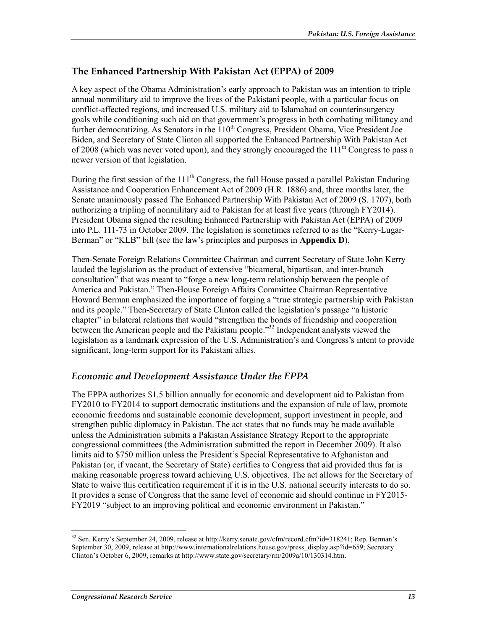#### **The Enhanced Partnership With Pakistan Act (EPPA) of 2009**

A key aspect of the Obama Administration's early approach to Pakistan was an intention to triple annual nonmilitary aid to improve the lives of the Pakistani people, with a particular focus on conflict-affected regions, and increased U.S. military aid to Islamabad on counterinsurgency goals while conditioning such aid on that government's progress in both combating militancy and further democratizing. As Senators in the  $110<sup>th</sup>$  Congress, President Obama, Vice President Joe Biden, and Secretary of State Clinton all supported the Enhanced Partnership With Pakistan Act of 2008 (which was never voted upon), and they strongly encouraged the  $111<sup>th</sup>$  Congress to pass a newer version of that legislation.

During the first session of the  $111<sup>th</sup>$  Congress, the full House passed a parallel Pakistan Enduring Assistance and Cooperation Enhancement Act of 2009 (H.R. 1886) and, three months later, the Senate unanimously passed The Enhanced Partnership With Pakistan Act of 2009 (S. 1707), both authorizing a tripling of nonmilitary aid to Pakistan for at least five years (through FY2014). President Obama signed the resulting Enhanced Partnership with Pakistan Act (EPPA) of 2009 into P.L. 111-73 in October 2009. The legislation is sometimes referred to as the "Kerry-Lugar-Berman" or "KLB" bill (see the law's principles and purposes in **Appendix D**).

Then-Senate Foreign Relations Committee Chairman and current Secretary of State John Kerry lauded the legislation as the product of extensive "bicameral, bipartisan, and inter-branch consultation" that was meant to "forge a new long-term relationship between the people of America and Pakistan." Then-House Foreign Affairs Committee Chairman Representative Howard Berman emphasized the importance of forging a "true strategic partnership with Pakistan and its people." Then-Secretary of State Clinton called the legislation's passage "a historic chapter" in bilateral relations that would "strengthen the bonds of friendship and cooperation between the American people and the Pakistani people."<sup>32</sup> Independent analysts viewed the legislation as a landmark expression of the U.S. Administration's and Congress's intent to provide significant, long-term support for its Pakistani allies.

#### *Economic and Development Assistance Under the EPPA*

The EPPA authorizes \$1.5 billion annually for economic and development aid to Pakistan from FY2010 to FY2014 to support democratic institutions and the expansion of rule of law, promote economic freedoms and sustainable economic development, support investment in people, and strengthen public diplomacy in Pakistan. The act states that no funds may be made available unless the Administration submits a Pakistan Assistance Strategy Report to the appropriate congressional committees (the Administration submitted the report in December 2009). It also limits aid to \$750 million unless the President's Special Representative to Afghanistan and Pakistan (or, if vacant, the Secretary of State) certifies to Congress that aid provided thus far is making reasonable progress toward achieving U.S. objectives. The act allows for the Secretary of State to waive this certification requirement if it is in the U.S. national security interests to do so. It provides a sense of Congress that the same level of economic aid should continue in FY2015- FY2019 "subject to an improving political and economic environment in Pakistan."

<sup>32</sup> Sen. Kerry's September 24, 2009, release at http://kerry.senate.gov/cfm/record.cfm?id=318241; Rep. Berman's September 30, 2009, release at http://www.internationalrelations.house.gov/press\_display.asp?id=659; Secretary Clinton's October 6, 2009, remarks at http://www.state.gov/secretary/rm/2009a/10/130314.htm.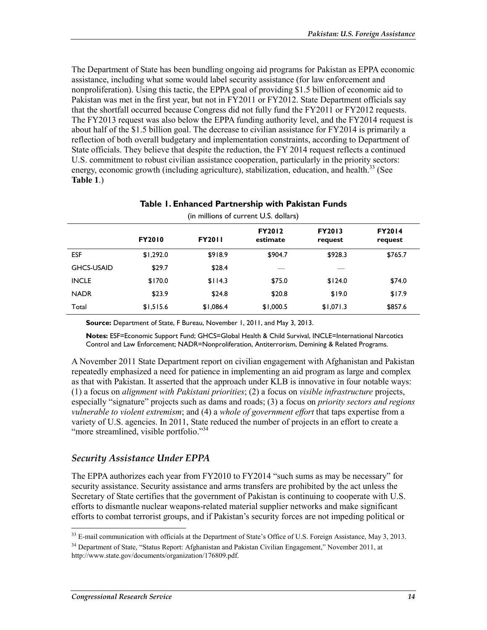The Department of State has been bundling ongoing aid programs for Pakistan as EPPA economic assistance, including what some would label security assistance (for law enforcement and nonproliferation). Using this tactic, the EPPA goal of providing \$1.5 billion of economic aid to Pakistan was met in the first year, but not in FY2011 or FY2012. State Department officials say that the shortfall occurred because Congress did not fully fund the FY2011 or FY2012 requests. The FY2013 request was also below the EPPA funding authority level, and the FY2014 request is about half of the \$1.5 billion goal. The decrease to civilian assistance for FY2014 is primarily a reflection of both overall budgetary and implementation constraints, according to Department of State officials. They believe that despite the reduction, the FY 2014 request reflects a continued U.S. commitment to robust civilian assistance cooperation, particularly in the priority sectors: energy, economic growth (including agriculture), stabilization, education, and health.<sup>33</sup> (See **Table 1**.)

| (in millions of current U.S. dollars) |               |               |                           |                          |                          |  |  |  |
|---------------------------------------|---------------|---------------|---------------------------|--------------------------|--------------------------|--|--|--|
|                                       | <b>FY2010</b> | <b>FY2011</b> | <b>FY2012</b><br>estimate | <b>FY2013</b><br>request | <b>FY2014</b><br>request |  |  |  |
| <b>ESF</b>                            | \$1,292.0     | \$918.9       | \$904.7                   | \$928.3                  | \$765.7                  |  |  |  |
| <b>GHCS-USAID</b>                     | \$29.7        | \$28.4        |                           |                          |                          |  |  |  |
| <b>INCLE</b>                          | \$170.0       | \$114.3       | \$75.0                    | \$124.0                  | \$74.0                   |  |  |  |
| <b>NADR</b>                           | \$23.9        | \$24.8        | \$20.8                    | \$19.0                   | \$17.9                   |  |  |  |
| Total                                 | \$1,515.6     | \$1,086.4     | \$1,000.5                 | \$1,071.3                | \$857.6                  |  |  |  |

# **Table 1. Enhanced Partnership with Pakistan Funds**

**Source:** Department of State, F Bureau, November 1, 2011, and May 3, 2013.

**Notes:** ESF=Economic Support Fund; GHCS=Global Health & Child Survival, INCLE=International Narcotics Control and Law Enforcement; NADR=Nonproliferation, Antiterrorism, Demining & Related Programs.

A November 2011 State Department report on civilian engagement with Afghanistan and Pakistan repeatedly emphasized a need for patience in implementing an aid program as large and complex as that with Pakistan. It asserted that the approach under KLB is innovative in four notable ways: (1) a focus on *alignment with Pakistani priorities*; (2) a focus on *visible infrastructure* projects, especially "signature" projects such as dams and roads; (3) a focus on *priority sectors and regions vulnerable to violent extremism*; and (4) a *whole of government effort* that taps expertise from a variety of U.S. agencies. In 2011, State reduced the number of projects in an effort to create a "more streamlined, visible portfolio."<sup>34</sup>

#### *Security Assistance Under EPPA*

The EPPA authorizes each year from FY2010 to FY2014 "such sums as may be necessary" for security assistance. Security assistance and arms transfers are prohibited by the act unless the Secretary of State certifies that the government of Pakistan is continuing to cooperate with U.S. efforts to dismantle nuclear weapons-related material supplier networks and make significant efforts to combat terrorist groups, and if Pakistan's security forces are not impeding political or

<sup>&</sup>lt;sup>33</sup> E-mail communication with officials at the Department of State's Office of U.S. Foreign Assistance, May 3, 2013.

<sup>&</sup>lt;sup>34</sup> Department of State, "Status Report: Afghanistan and Pakistan Civilian Engagement," November 2011, at http://www.state.gov/documents/organization/176809.pdf.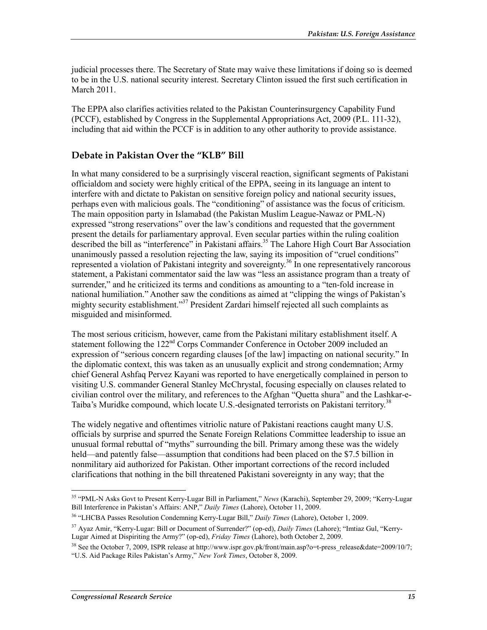judicial processes there. The Secretary of State may waive these limitations if doing so is deemed to be in the U.S. national security interest. Secretary Clinton issued the first such certification in March 2011.

The EPPA also clarifies activities related to the Pakistan Counterinsurgency Capability Fund (PCCF), established by Congress in the Supplemental Appropriations Act, 2009 (P.L. 111-32), including that aid within the PCCF is in addition to any other authority to provide assistance.

#### **Debate in Pakistan Over the "KLB" Bill**

In what many considered to be a surprisingly visceral reaction, significant segments of Pakistani officialdom and society were highly critical of the EPPA, seeing in its language an intent to interfere with and dictate to Pakistan on sensitive foreign policy and national security issues, perhaps even with malicious goals. The "conditioning" of assistance was the focus of criticism. The main opposition party in Islamabad (the Pakistan Muslim League-Nawaz or PML-N) expressed "strong reservations" over the law's conditions and requested that the government present the details for parliamentary approval. Even secular parties within the ruling coalition described the bill as "interference" in Pakistani affairs.<sup>35</sup> The Lahore High Court Bar Association unanimously passed a resolution rejecting the law, saying its imposition of "cruel conditions" represented a violation of Pakistani integrity and sovereignty.<sup>36</sup> In one representatively rancorous statement, a Pakistani commentator said the law was "less an assistance program than a treaty of surrender," and he criticized its terms and conditions as amounting to a "ten-fold increase in national humiliation." Another saw the conditions as aimed at "clipping the wings of Pakistan's mighty security establishment."<sup>37</sup> President Zardari himself rejected all such complaints as misguided and misinformed.

The most serious criticism, however, came from the Pakistani military establishment itself. A statement following the 122<sup>nd</sup> Corps Commander Conference in October 2009 included an expression of "serious concern regarding clauses [of the law] impacting on national security." In the diplomatic context, this was taken as an unusually explicit and strong condemnation; Army chief General Ashfaq Pervez Kayani was reported to have energetically complained in person to visiting U.S. commander General Stanley McChrystal, focusing especially on clauses related to civilian control over the military, and references to the Afghan "Quetta shura" and the Lashkar-e-Taiba's Muridke compound, which locate U.S.-designated terrorists on Pakistani territory.<sup>38</sup>

The widely negative and oftentimes vitriolic nature of Pakistani reactions caught many U.S. officials by surprise and spurred the Senate Foreign Relations Committee leadership to issue an unusual formal rebuttal of "myths" surrounding the bill. Primary among these was the widely held—and patently false—assumption that conditions had been placed on the \$7.5 billion in nonmilitary aid authorized for Pakistan. Other important corrections of the record included clarifications that nothing in the bill threatened Pakistani sovereignty in any way; that the

<sup>1</sup> 35 "PML-N Asks Govt to Present Kerry-Lugar Bill in Parliament," *News* (Karachi), September 29, 2009; "Kerry-Lugar Bill Interference in Pakistan's Affairs: ANP," *Daily Times* (Lahore), October 11, 2009.

<sup>36 &</sup>quot;LHCBA Passes Resolution Condemning Kerry-Lugar Bill," *Daily Times* (Lahore), October 1, 2009.

<sup>37</sup> Ayaz Amir, "Kerry-Lugar: Bill or Document of Surrender?" (op-ed), *Daily Times* (Lahore); "Imtiaz Gul, "Kerry-Lugar Aimed at Dispiriting the Army?" (op-ed), *Friday Times* (Lahore), both October 2, 2009.

<sup>&</sup>lt;sup>38</sup> See the October 7, 2009, ISPR release at http://www.ispr.gov.pk/front/main.asp?o=t-press\_release&date=2009/10/7; "U.S. Aid Package Riles Pakistan's Army," *New York Times*, October 8, 2009.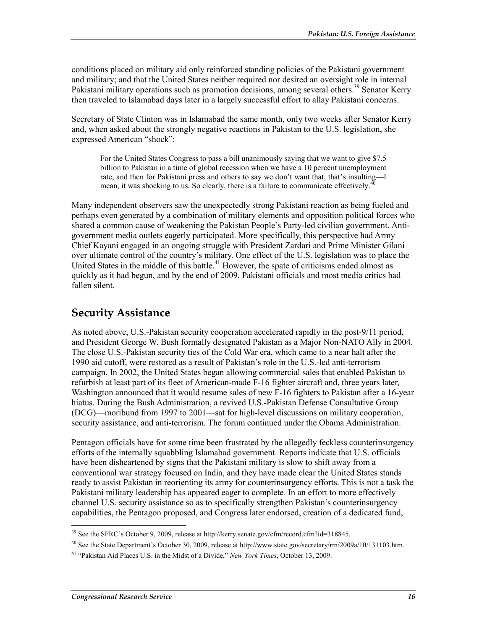conditions placed on military aid only reinforced standing policies of the Pakistani government and military; and that the United States neither required nor desired an oversight role in internal Pakistani military operations such as promotion decisions, among several others.<sup>39</sup> Senator Kerry then traveled to Islamabad days later in a largely successful effort to allay Pakistani concerns.

Secretary of State Clinton was in Islamabad the same month, only two weeks after Senator Kerry and, when asked about the strongly negative reactions in Pakistan to the U.S. legislation, she expressed American "shock":

For the United States Congress to pass a bill unanimously saying that we want to give \$7.5 billion to Pakistan in a time of global recession when we have a 10 percent unemployment rate, and then for Pakistani press and others to say we don't want that, that's insulting—I mean, it was shocking to us. So clearly, there is a failure to communicate effectively.<sup>4</sup>

Many independent observers saw the unexpectedly strong Pakistani reaction as being fueled and perhaps even generated by a combination of military elements and opposition political forces who shared a common cause of weakening the Pakistan People's Party-led civilian government. Antigovernment media outlets eagerly participated. More specifically, this perspective had Army Chief Kayani engaged in an ongoing struggle with President Zardari and Prime Minister Gilani over ultimate control of the country's military. One effect of the U.S. legislation was to place the United States in the middle of this battle. $41$  However, the spate of criticisms ended almost as quickly as it had begun, and by the end of 2009, Pakistani officials and most media critics had fallen silent.

### **Security Assistance**

As noted above, U.S.-Pakistan security cooperation accelerated rapidly in the post-9/11 period, and President George W. Bush formally designated Pakistan as a Major Non-NATO Ally in 2004. The close U.S.-Pakistan security ties of the Cold War era, which came to a near halt after the 1990 aid cutoff, were restored as a result of Pakistan's role in the U.S.-led anti-terrorism campaign. In 2002, the United States began allowing commercial sales that enabled Pakistan to refurbish at least part of its fleet of American-made F-16 fighter aircraft and, three years later, Washington announced that it would resume sales of new F-16 fighters to Pakistan after a 16-year hiatus. During the Bush Administration, a revived U.S.-Pakistan Defense Consultative Group (DCG)—moribund from 1997 to 2001—sat for high-level discussions on military cooperation, security assistance, and anti-terrorism. The forum continued under the Obama Administration.

Pentagon officials have for some time been frustrated by the allegedly feckless counterinsurgency efforts of the internally squabbling Islamabad government. Reports indicate that U.S. officials have been disheartened by signs that the Pakistani military is slow to shift away from a conventional war strategy focused on India, and they have made clear the United States stands ready to assist Pakistan in reorienting its army for counterinsurgency efforts. This is not a task the Pakistani military leadership has appeared eager to complete. In an effort to more effectively channel U.S. security assistance so as to specifically strengthen Pakistan's counterinsurgency capabilities, the Pentagon proposed, and Congress later endorsed, creation of a dedicated fund,

<sup>39</sup> See the SFRC's October 9, 2009, release at http://kerry.senate.gov/cfm/record.cfm?id=318845.

<sup>&</sup>lt;sup>40</sup> See the State Department's October 30, 2009, release at http://www.state.gov/secretary/rm/2009a/10/131103.htm.

<sup>41 &</sup>quot;Pakistan Aid Places U.S. in the Midst of a Divide," *New York Times*, October 13, 2009.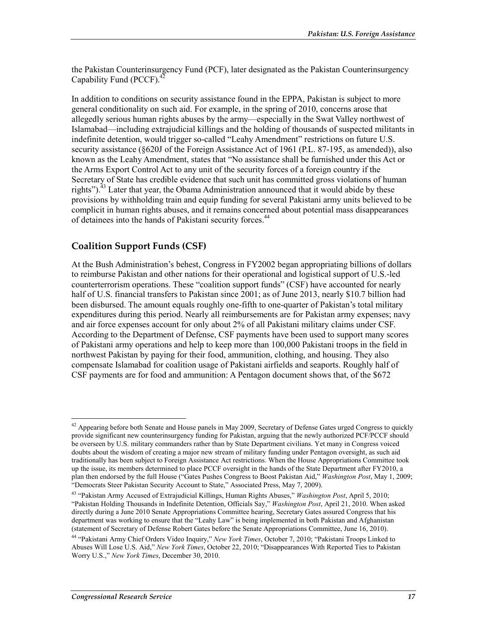the Pakistan Counterinsurgency Fund (PCF), later designated as the Pakistan Counterinsurgency Capability Fund (PCCF).<sup>42</sup>

In addition to conditions on security assistance found in the EPPA, Pakistan is subject to more general conditionality on such aid. For example, in the spring of 2010, concerns arose that allegedly serious human rights abuses by the army—especially in the Swat Valley northwest of Islamabad—including extrajudicial killings and the holding of thousands of suspected militants in indefinite detention, would trigger so-called "Leahy Amendment" restrictions on future U.S. security assistance (§620J of the Foreign Assistance Act of 1961 (P.L. 87-195, as amended)), also known as the Leahy Amendment, states that "No assistance shall be furnished under this Act or the Arms Export Control Act to any unit of the security forces of a foreign country if the Secretary of State has credible evidence that such unit has committed gross violations of human rights").<sup>43</sup> Later that year, the Obama Administration announced that it would abide by these provisions by withholding train and equip funding for several Pakistani army units believed to be complicit in human rights abuses, and it remains concerned about potential mass disappearances of detainees into the hands of Pakistani security forces.<sup>44</sup>

#### **Coalition Support Funds (CSF)**

At the Bush Administration's behest, Congress in FY2002 began appropriating billions of dollars to reimburse Pakistan and other nations for their operational and logistical support of U.S.-led counterterrorism operations. These "coalition support funds" (CSF) have accounted for nearly half of U.S. financial transfers to Pakistan since 2001; as of June 2013, nearly \$10.7 billion had been disbursed. The amount equals roughly one-fifth to one-quarter of Pakistan's total military expenditures during this period. Nearly all reimbursements are for Pakistan army expenses; navy and air force expenses account for only about 2% of all Pakistani military claims under CSF. According to the Department of Defense, CSF payments have been used to support many scores of Pakistani army operations and help to keep more than 100,000 Pakistani troops in the field in northwest Pakistan by paying for their food, ammunition, clothing, and housing. They also compensate Islamabad for coalition usage of Pakistani airfields and seaports. Roughly half of CSF payments are for food and ammunition: A Pentagon document shows that, of the \$672

<u>.</u>

 $42$  Appearing before both Senate and House panels in May 2009, Secretary of Defense Gates urged Congress to quickly provide significant new counterinsurgency funding for Pakistan, arguing that the newly authorized PCF/PCCF should be overseen by U.S. military commanders rather than by State Department civilians. Yet many in Congress voiced doubts about the wisdom of creating a major new stream of military funding under Pentagon oversight, as such aid traditionally has been subject to Foreign Assistance Act restrictions. When the House Appropriations Committee took up the issue, its members determined to place PCCF oversight in the hands of the State Department after FY2010, a plan then endorsed by the full House ("Gates Pushes Congress to Boost Pakistan Aid," *Washington Post*, May 1, 2009; "Democrats Steer Pakistan Security Account to State," Associated Press, May 7, 2009).

<sup>43 &</sup>quot;Pakistan Army Accused of Extrajudicial Killings, Human Rights Abuses," *Washington Post*, April 5, 2010; "Pakistan Holding Thousands in Indefinite Detention, Officials Say," *Washington Post*, April 21, 2010. When asked directly during a June 2010 Senate Appropriations Committee hearing, Secretary Gates assured Congress that his department was working to ensure that the "Leahy Law" is being implemented in both Pakistan and Afghanistan (statement of Secretary of Defense Robert Gates before the Senate Appropriations Committee, June 16, 2010).

<sup>44 &</sup>quot;Pakistani Army Chief Orders Video Inquiry," *New York Times*, October 7, 2010; "Pakistani Troops Linked to Abuses Will Lose U.S. Aid," *New York Times*, October 22, 2010; "Disappearances With Reported Ties to Pakistan Worry U.S.," *New York Times*, December 30, 2010.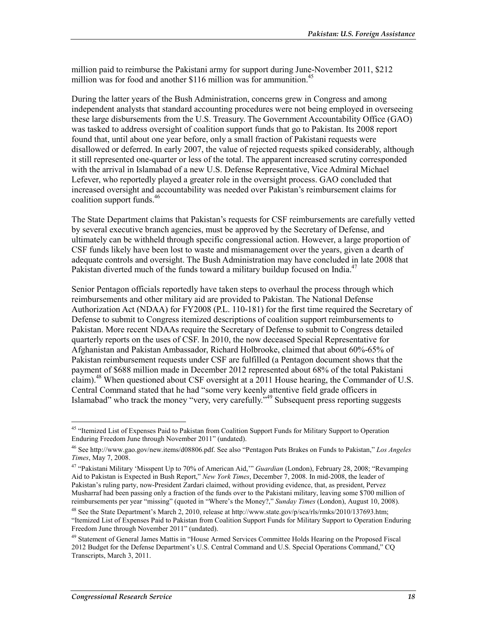million paid to reimburse the Pakistani army for support during June-November 2011, \$212 million was for food and another \$116 million was for ammunition.<sup>45</sup>

During the latter years of the Bush Administration, concerns grew in Congress and among independent analysts that standard accounting procedures were not being employed in overseeing these large disbursements from the U.S. Treasury. The Government Accountability Office (GAO) was tasked to address oversight of coalition support funds that go to Pakistan. Its 2008 report found that, until about one year before, only a small fraction of Pakistani requests were disallowed or deferred. In early 2007, the value of rejected requests spiked considerably, although it still represented one-quarter or less of the total. The apparent increased scrutiny corresponded with the arrival in Islamabad of a new U.S. Defense Representative, Vice Admiral Michael Lefever, who reportedly played a greater role in the oversight process. GAO concluded that increased oversight and accountability was needed over Pakistan's reimbursement claims for coalition support funds.<sup>46</sup>

The State Department claims that Pakistan's requests for CSF reimbursements are carefully vetted by several executive branch agencies, must be approved by the Secretary of Defense, and ultimately can be withheld through specific congressional action. However, a large proportion of CSF funds likely have been lost to waste and mismanagement over the years, given a dearth of adequate controls and oversight. The Bush Administration may have concluded in late 2008 that Pakistan diverted much of the funds toward a military buildup focused on India.<sup>47</sup>

Senior Pentagon officials reportedly have taken steps to overhaul the process through which reimbursements and other military aid are provided to Pakistan. The National Defense Authorization Act (NDAA) for FY2008 (P.L. 110-181) for the first time required the Secretary of Defense to submit to Congress itemized descriptions of coalition support reimbursements to Pakistan. More recent NDAAs require the Secretary of Defense to submit to Congress detailed quarterly reports on the uses of CSF. In 2010, the now deceased Special Representative for Afghanistan and Pakistan Ambassador, Richard Holbrooke, claimed that about 60%-65% of Pakistan reimbursement requests under CSF are fulfilled (a Pentagon document shows that the payment of \$688 million made in December 2012 represented about 68% of the total Pakistani claim).<sup>48</sup> When questioned about CSF oversight at a 2011 House hearing, the Commander of U.S. Central Command stated that he had "some very keenly attentive field grade officers in Islamabad" who track the money "very, very carefully."49 Subsequent press reporting suggests

<sup>&</sup>lt;sup>45</sup> "Itemized List of Expenses Paid to Pakistan from Coalition Support Funds for Military Support to Operation Enduring Freedom June through November 2011" (undated).

<sup>46</sup> See http://www.gao.gov/new.items/d08806.pdf. See also "Pentagon Puts Brakes on Funds to Pakistan," *Los Angeles Times*, May 7, 2008.

<sup>47 &</sup>quot;Pakistani Military 'Misspent Up to 70% of American Aid,'" *Guardian* (London), February 28, 2008; "Revamping Aid to Pakistan is Expected in Bush Report," *New York Times*, December 7, 2008. In mid-2008, the leader of Pakistan's ruling party, now-President Zardari claimed, without providing evidence, that, as president, Pervez Musharraf had been passing only a fraction of the funds over to the Pakistani military, leaving some \$700 million of reimbursements per year "missing" (quoted in "Where's the Money?," *Sunday Times* (London), August 10, 2008).

<sup>48</sup> See the State Department's March 2, 2010, release at http://www.state.gov/p/sca/rls/rmks/2010/137693.htm; "Itemized List of Expenses Paid to Pakistan from Coalition Support Funds for Military Support to Operation Enduring Freedom June through November 2011" (undated).

<sup>&</sup>lt;sup>49</sup> Statement of General James Mattis in "House Armed Services Committee Holds Hearing on the Proposed Fiscal 2012 Budget for the Defense Department's U.S. Central Command and U.S. Special Operations Command," CQ Transcripts, March 3, 2011.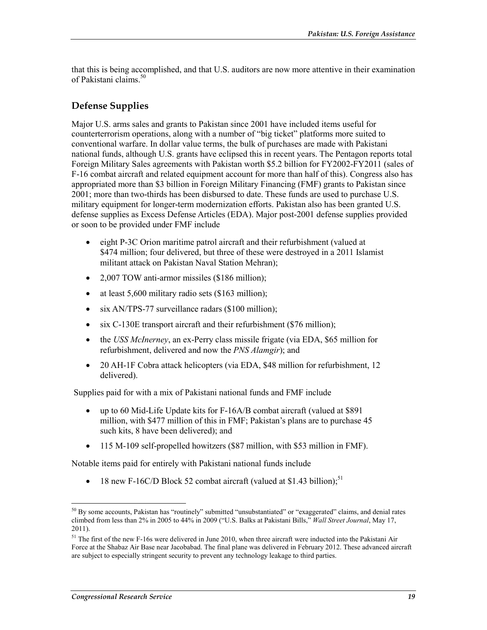that this is being accomplished, and that U.S. auditors are now more attentive in their examination of Pakistani claims.<sup>50</sup>

#### **Defense Supplies**

Major U.S. arms sales and grants to Pakistan since 2001 have included items useful for counterterrorism operations, along with a number of "big ticket" platforms more suited to conventional warfare. In dollar value terms, the bulk of purchases are made with Pakistani national funds, although U.S. grants have eclipsed this in recent years. The Pentagon reports total Foreign Military Sales agreements with Pakistan worth \$5.2 billion for FY2002-FY2011 (sales of F-16 combat aircraft and related equipment account for more than half of this). Congress also has appropriated more than \$3 billion in Foreign Military Financing (FMF) grants to Pakistan since 2001; more than two-thirds has been disbursed to date. These funds are used to purchase U.S. military equipment for longer-term modernization efforts. Pakistan also has been granted U.S. defense supplies as Excess Defense Articles (EDA). Major post-2001 defense supplies provided or soon to be provided under FMF include

- eight P-3C Orion maritime patrol aircraft and their refurbishment (valued at \$474 million; four delivered, but three of these were destroyed in a 2011 Islamist militant attack on Pakistan Naval Station Mehran);
- 2,007 TOW anti-armor missiles (\$186 million);
- at least 5,600 military radio sets (\$163 million);
- six AN/TPS-77 surveillance radars (\$100 million);
- six C-130E transport aircraft and their refurbishment (\$76 million);
- the *USS McInerney*, an ex-Perry class missile frigate (via EDA, \$65 million for refurbishment, delivered and now the *PNS Alamgir*); and
- 20 AH-1F Cobra attack helicopters (via EDA, \$48 million for refurbishment, 12 delivered).

Supplies paid for with a mix of Pakistani national funds and FMF include

- up to 60 Mid-Life Update kits for F-16A/B combat aircraft (valued at \$891) million, with \$477 million of this in FMF; Pakistan's plans are to purchase 45 such kits, 8 have been delivered); and
- 115 M-109 self-propelled howitzers (\$87 million, with \$53 million in FMF).

Notable items paid for entirely with Pakistani national funds include

• 18 new F-16C/D Block 52 combat aircraft (valued at \$1.43 billion);<sup>51</sup>

<sup>1</sup> <sup>50</sup> By some accounts, Pakistan has "routinely" submitted "unsubstantiated" or "exaggerated" claims, and denial rates climbed from less than 2% in 2005 to 44% in 2009 ("U.S. Balks at Pakistani Bills," *Wall Street Journal*, May 17, 2011).

<sup>&</sup>lt;sup>51</sup> The first of the new F-16s were delivered in June 2010, when three aircraft were inducted into the Pakistani Air Force at the Shabaz Air Base near Jacobabad. The final plane was delivered in February 2012. These advanced aircraft are subject to especially stringent security to prevent any technology leakage to third parties.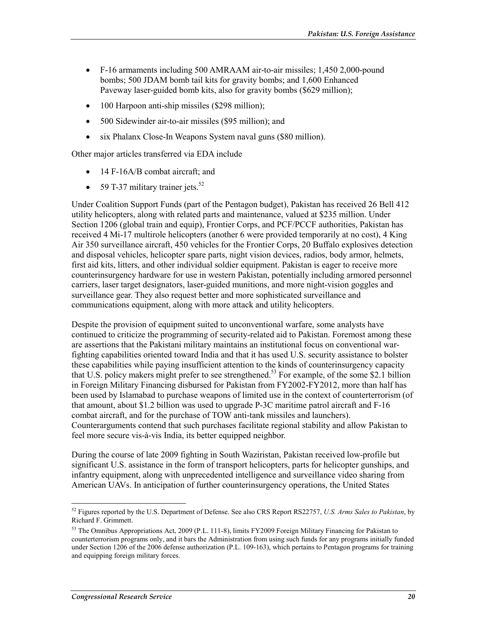- F-16 armaments including 500 AMRAAM air-to-air missiles; 1,450 2,000-pound bombs; 500 JDAM bomb tail kits for gravity bombs; and 1,600 Enhanced Paveway laser-guided bomb kits, also for gravity bombs (\$629 million);
- 100 Harpoon anti-ship missiles (\$298 million);
- 500 Sidewinder air-to-air missiles (\$95 million); and
- six Phalanx Close-In Weapons System naval guns (\$80 million).

Other major articles transferred via EDA include

- 14 F-16A/B combat aircraft; and
- 59 T-37 military trainer jets. $52$

Under Coalition Support Funds (part of the Pentagon budget), Pakistan has received 26 Bell 412 utility helicopters, along with related parts and maintenance, valued at \$235 million. Under Section 1206 (global train and equip), Frontier Corps, and PCF/PCCF authorities, Pakistan has received 4 Mi-17 multirole helicopters (another 6 were provided temporarily at no cost), 4 King Air 350 surveillance aircraft, 450 vehicles for the Frontier Corps, 20 Buffalo explosives detection and disposal vehicles, helicopter spare parts, night vision devices, radios, body armor, helmets, first aid kits, litters, and other individual soldier equipment. Pakistan is eager to receive more counterinsurgency hardware for use in western Pakistan, potentially including armored personnel carriers, laser target designators, laser-guided munitions, and more night-vision goggles and surveillance gear. They also request better and more sophisticated surveillance and communications equipment, along with more attack and utility helicopters.

Despite the provision of equipment suited to unconventional warfare, some analysts have continued to criticize the programming of security-related aid to Pakistan. Foremost among these are assertions that the Pakistani military maintains an institutional focus on conventional warfighting capabilities oriented toward India and that it has used U.S. security assistance to bolster these capabilities while paying insufficient attention to the kinds of counterinsurgency capacity that U.S. policy makers might prefer to see strengthened.<sup>53</sup> For example, of the some \$2.1 billion in Foreign Military Financing disbursed for Pakistan from FY2002-FY2012, more than half has been used by Islamabad to purchase weapons of limited use in the context of counterterrorism (of that amount, about \$1.2 billion was used to upgrade P-3C maritime patrol aircraft and F-16 combat aircraft, and for the purchase of TOW anti-tank missiles and launchers). Counterarguments contend that such purchases facilitate regional stability and allow Pakistan to feel more secure vis-à-vis India, its better equipped neighbor.

During the course of late 2009 fighting in South Waziristan, Pakistan received low-profile but significant U.S. assistance in the form of transport helicopters, parts for helicopter gunships, and infantry equipment, along with unprecedented intelligence and surveillance video sharing from American UAVs. In anticipation of further counterinsurgency operations, the United States

<sup>52</sup> Figures reported by the U.S. Department of Defense. See also CRS Report RS22757, *U.S. Arms Sales to Pakistan*, by Richard F. Grimmett.

<sup>53</sup> The Omnibus Appropriations Act, 2009 (P.L. 111-8), limits FY2009 Foreign Military Financing for Pakistan to counterterrorism programs only, and it bars the Administration from using such funds for any programs initially funded under Section 1206 of the 2006 defense authorization (P.L. 109-163), which pertains to Pentagon programs for training and equipping foreign military forces.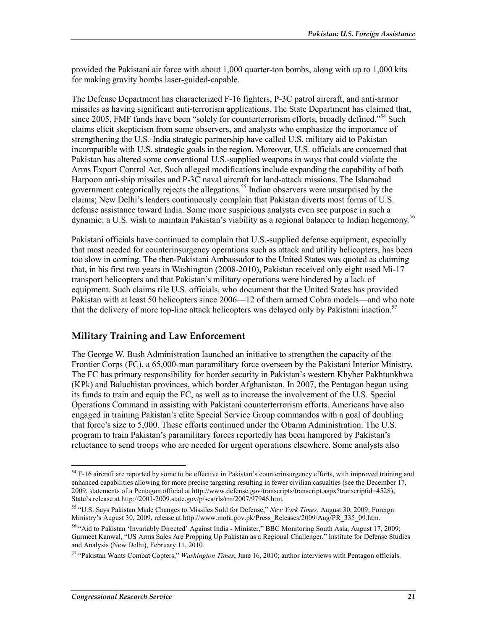provided the Pakistani air force with about 1,000 quarter-ton bombs, along with up to 1,000 kits for making gravity bombs laser-guided-capable.

The Defense Department has characterized F-16 fighters, P-3C patrol aircraft, and anti-armor missiles as having significant anti-terrorism applications. The State Department has claimed that, since 2005. FMF funds have been "solely for counterterrorism efforts, broadly defined."<sup>54</sup> Such claims elicit skepticism from some observers, and analysts who emphasize the importance of strengthening the U.S.-India strategic partnership have called U.S. military aid to Pakistan incompatible with U.S. strategic goals in the region. Moreover, U.S. officials are concerned that Pakistan has altered some conventional U.S.-supplied weapons in ways that could violate the Arms Export Control Act. Such alleged modifications include expanding the capability of both Harpoon anti-ship missiles and P-3C naval aircraft for land-attack missions. The Islamabad government categorically rejects the allegations.<sup>55</sup> Indian observers were unsurprised by the claims; New Delhi's leaders continuously complain that Pakistan diverts most forms of U.S. defense assistance toward India. Some more suspicious analysts even see purpose in such a dynamic: a U.S. wish to maintain Pakistan's viability as a regional balancer to Indian hegemony.<sup>56</sup>

Pakistani officials have continued to complain that U.S.-supplied defense equipment, especially that most needed for counterinsurgency operations such as attack and utility helicopters, has been too slow in coming. The then-Pakistani Ambassador to the United States was quoted as claiming that, in his first two years in Washington (2008-2010), Pakistan received only eight used Mi-17 transport helicopters and that Pakistan's military operations were hindered by a lack of equipment. Such claims rile U.S. officials, who document that the United States has provided Pakistan with at least 50 helicopters since 2006—12 of them armed Cobra models—and who note that the delivery of more top-line attack helicopters was delayed only by Pakistani inaction.<sup>57</sup>

#### **Military Training and Law Enforcement**

The George W. Bush Administration launched an initiative to strengthen the capacity of the Frontier Corps (FC), a 65,000-man paramilitary force overseen by the Pakistani Interior Ministry. The FC has primary responsibility for border security in Pakistan's western Khyber Pakhtunkhwa (KPk) and Baluchistan provinces, which border Afghanistan. In 2007, the Pentagon began using its funds to train and equip the FC, as well as to increase the involvement of the U.S. Special Operations Command in assisting with Pakistani counterterrorism efforts. Americans have also engaged in training Pakistan's elite Special Service Group commandos with a goal of doubling that force's size to 5,000. These efforts continued under the Obama Administration. The U.S. program to train Pakistan's paramilitary forces reportedly has been hampered by Pakistan's reluctance to send troops who are needed for urgent operations elsewhere. Some analysts also

 $54$  F-16 aircraft are reported by some to be effective in Pakistan's counterinsurgency efforts, with improved training and enhanced capabilities allowing for more precise targeting resulting in fewer civilian casualties (see the December 17, 2009, statements of a Pentagon official at http://www.defense.gov/transcripts/transcript.aspx?transcriptid=4528); State's release at http://2001-2009.state.gov/p/sca/rls/rm/2007/97946.htm.

<sup>55 &</sup>quot;U.S. Says Pakistan Made Changes to Missiles Sold for Defense," *New York Times*, August 30, 2009; Foreign Ministry's August 30, 2009, release at http://www.mofa.gov.pk/Press\_Releases/2009/Aug/PR\_335\_09.htm.

<sup>56 &</sup>quot;Aid to Pakistan 'Invariably Directed' Against India - Minister," BBC Monitoring South Asia, August 17, 2009; Gurmeet Kanwal, "US Arms Sales Are Propping Up Pakistan as a Regional Challenger," Institute for Defense Studies and Analysis (New Delhi), February 11, 2010.

<sup>57 &</sup>quot;Pakistan Wants Combat Copters," *Washington Times*, June 16, 2010; author interviews with Pentagon officials.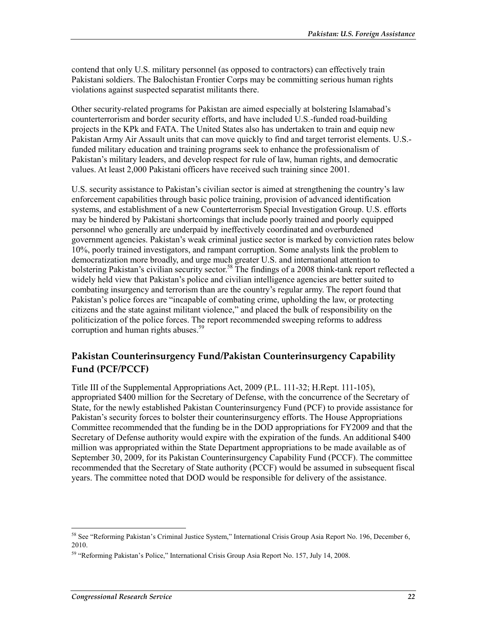contend that only U.S. military personnel (as opposed to contractors) can effectively train Pakistani soldiers. The Balochistan Frontier Corps may be committing serious human rights violations against suspected separatist militants there.

Other security-related programs for Pakistan are aimed especially at bolstering Islamabad's counterterrorism and border security efforts, and have included U.S.-funded road-building projects in the KPk and FATA. The United States also has undertaken to train and equip new Pakistan Army Air Assault units that can move quickly to find and target terrorist elements. U.S. funded military education and training programs seek to enhance the professionalism of Pakistan's military leaders, and develop respect for rule of law, human rights, and democratic values. At least 2,000 Pakistani officers have received such training since 2001.

U.S. security assistance to Pakistan's civilian sector is aimed at strengthening the country's law enforcement capabilities through basic police training, provision of advanced identification systems, and establishment of a new Counterterrorism Special Investigation Group. U.S. efforts may be hindered by Pakistani shortcomings that include poorly trained and poorly equipped personnel who generally are underpaid by ineffectively coordinated and overburdened government agencies. Pakistan's weak criminal justice sector is marked by conviction rates below 10%, poorly trained investigators, and rampant corruption. Some analysts link the problem to democratization more broadly, and urge much greater U.S. and international attention to bolstering Pakistan's civilian security sector.<sup>58</sup> The findings of a 2008 think-tank report reflected a widely held view that Pakistan's police and civilian intelligence agencies are better suited to combating insurgency and terrorism than are the country's regular army. The report found that Pakistan's police forces are "incapable of combating crime, upholding the law, or protecting citizens and the state against militant violence," and placed the bulk of responsibility on the politicization of the police forces. The report recommended sweeping reforms to address corruption and human rights abuses.<sup>59</sup>

#### **Pakistan Counterinsurgency Fund/Pakistan Counterinsurgency Capability Fund (PCF/PCCF)**

Title III of the Supplemental Appropriations Act, 2009 (P.L. 111-32; H.Rept. 111-105), appropriated \$400 million for the Secretary of Defense, with the concurrence of the Secretary of State, for the newly established Pakistan Counterinsurgency Fund (PCF) to provide assistance for Pakistan's security forces to bolster their counterinsurgency efforts. The House Appropriations Committee recommended that the funding be in the DOD appropriations for FY2009 and that the Secretary of Defense authority would expire with the expiration of the funds. An additional \$400 million was appropriated within the State Department appropriations to be made available as of September 30, 2009, for its Pakistan Counterinsurgency Capability Fund (PCCF). The committee recommended that the Secretary of State authority (PCCF) would be assumed in subsequent fiscal years. The committee noted that DOD would be responsible for delivery of the assistance.

<sup>58</sup> See "Reforming Pakistan's Criminal Justice System," International Crisis Group Asia Report No. 196, December 6, 2010.

<sup>59 &</sup>quot;Reforming Pakistan's Police," International Crisis Group Asia Report No. 157, July 14, 2008.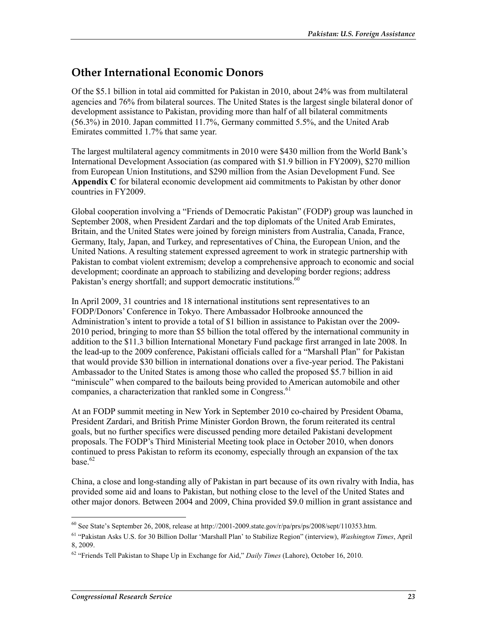## **Other International Economic Donors**

Of the \$5.1 billion in total aid committed for Pakistan in 2010, about 24% was from multilateral agencies and 76% from bilateral sources. The United States is the largest single bilateral donor of development assistance to Pakistan, providing more than half of all bilateral commitments (56.3%) in 2010. Japan committed 11.7%, Germany committed 5.5%, and the United Arab Emirates committed 1.7% that same year.

The largest multilateral agency commitments in 2010 were \$430 million from the World Bank's International Development Association (as compared with \$1.9 billion in FY2009), \$270 million from European Union Institutions, and \$290 million from the Asian Development Fund. See **Appendix C** for bilateral economic development aid commitments to Pakistan by other donor countries in FY2009.

Global cooperation involving a "Friends of Democratic Pakistan" (FODP) group was launched in September 2008, when President Zardari and the top diplomats of the United Arab Emirates, Britain, and the United States were joined by foreign ministers from Australia, Canada, France, Germany, Italy, Japan, and Turkey, and representatives of China, the European Union, and the United Nations. A resulting statement expressed agreement to work in strategic partnership with Pakistan to combat violent extremism; develop a comprehensive approach to economic and social development; coordinate an approach to stabilizing and developing border regions; address Pakistan's energy shortfall; and support democratic institutions.<sup>60</sup>

In April 2009, 31 countries and 18 international institutions sent representatives to an FODP/Donors' Conference in Tokyo. There Ambassador Holbrooke announced the Administration's intent to provide a total of \$1 billion in assistance to Pakistan over the 2009- 2010 period, bringing to more than \$5 billion the total offered by the international community in addition to the \$11.3 billion International Monetary Fund package first arranged in late 2008. In the lead-up to the 2009 conference, Pakistani officials called for a "Marshall Plan" for Pakistan that would provide \$30 billion in international donations over a five-year period. The Pakistani Ambassador to the United States is among those who called the proposed \$5.7 billion in aid "miniscule" when compared to the bailouts being provided to American automobile and other companies, a characterization that rankled some in Congress.<sup>61</sup>

At an FODP summit meeting in New York in September 2010 co-chaired by President Obama, President Zardari, and British Prime Minister Gordon Brown, the forum reiterated its central goals, but no further specifics were discussed pending more detailed Pakistani development proposals. The FODP's Third Ministerial Meeting took place in October 2010, when donors continued to press Pakistan to reform its economy, especially through an expansion of the tax base $62$ 

China, a close and long-standing ally of Pakistan in part because of its own rivalry with India, has provided some aid and loans to Pakistan, but nothing close to the level of the United States and other major donors. Between 2004 and 2009, China provided \$9.0 million in grant assistance and

<sup>1</sup>  $^{60}$  See State's September 26, 2008, release at http://2001-2009.state.gov/r/pa/prs/ps/2008/sept/110353.htm.

<sup>61 &</sup>quot;Pakistan Asks U.S. for 30 Billion Dollar 'Marshall Plan' to Stabilize Region" (interview), *Washington Times*, April 8, 2009.

<sup>62 &</sup>quot;Friends Tell Pakistan to Shape Up in Exchange for Aid," *Daily Times* (Lahore), October 16, 2010.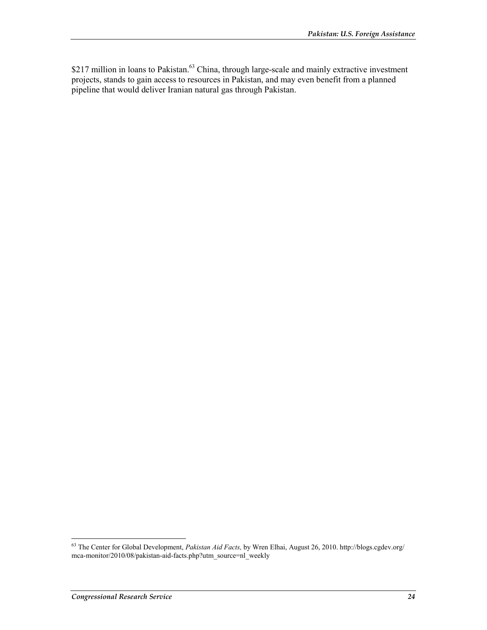\$217 million in loans to Pakistan.<sup>63</sup> China, through large-scale and mainly extractive investment projects, stands to gain access to resources in Pakistan, and may even benefit from a planned pipeline that would deliver Iranian natural gas through Pakistan.

<sup>63</sup> The Center for Global Development, *Pakistan Aid Facts,* by Wren Elhai, August 26, 2010. http://blogs.cgdev.org/ mca-monitor/2010/08/pakistan-aid-facts.php?utm\_source=nl\_weekly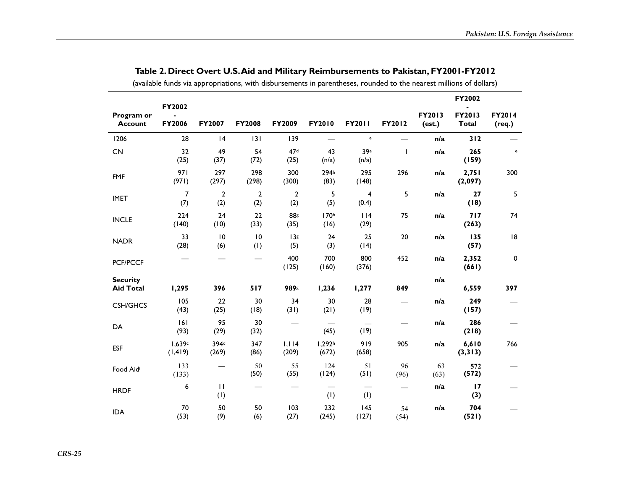|                              |                         |                           |                     |                         |                             |                                   |              |                  | FY2002                 |                  |
|------------------------------|-------------------------|---------------------------|---------------------|-------------------------|-----------------------------|-----------------------------------|--------------|------------------|------------------------|------------------|
| Program or<br><b>Account</b> | FY2002<br><b>FY2006</b> | FY2007                    | <b>FY2008</b>       | FY2009                  | FY2010                      | FY2011                            | FY2012       | FY2013<br>(est.) | FY2013<br><b>Total</b> | FY2014<br>(req.) |
| 1206                         | 28                      | 4                         | 131                 | 139                     | —                           | $\mathsf{e}% _{t}\left( t\right)$ |              | n/a              | 312                    |                  |
| CN                           | 32<br>(25)              | 49<br>(37)                | 54<br>(72)          | 47 <sup>d</sup><br>(25) | 43<br>(n/a)                 | 39e<br>(n/a)                      | $\mathbf{I}$ | n/a              | 265<br>(159)           | $\mathsf{e}\,$   |
| <b>FMF</b>                   | 971<br>(971)            | 297<br>(297)              | 298<br>(298)        | 300<br>(300)            | 294h<br>(83)                | 295<br>(148)                      | 296          | n/a              | 2,751<br>(2,097)       | 300              |
| <b>IMET</b>                  | 7<br>(7)                | $\overline{2}$<br>(2)     | $\mathbf{2}$<br>(2) | $\mathbf{2}$<br>(2)     | 5<br>(5)                    | 4<br>(0.4)                        | 5            | n/a              | 27<br>(18)             | 5                |
| <b>INCLE</b>                 | 224<br>(140)            | 24<br>(10)                | 22<br>(33)          | 88s<br>(35)             | 170h<br>(16)                | 114<br>(29)                       | 75           | n/a              | 717<br>(263)           | 74               |
| <b>NADR</b>                  | 33<br>(28)              | $\overline{10}$<br>(6)    | 10<br>(1)           | 138<br>(5)              | 24<br>(3)                   | 25<br>(14)                        | 20           | n/a              | 135<br>(57)            | 8                |
| <b>PCF/PCCF</b>              |                         |                           |                     | 400<br>(125)            | 700<br>(160)                | 800<br>(376)                      | 452          | n/a              | 2,352<br>(661)         | $\pmb{0}$        |
| <b>Security</b>              |                         |                           |                     |                         |                             |                                   |              | n/a              |                        |                  |
| <b>Aid Total</b>             | 1,295                   | 396                       | 517                 | 989g                    | 1,236                       | 1,277                             | 849          |                  | 6,559                  | 397              |
| <b>CSH/GHCS</b>              | 105<br>(43)             | 22<br>(25)                | 30<br>(18)          | 34<br>(31)              | 30<br>(21)                  | 28<br>(19)                        |              | n/a              | 249<br>(157)           |                  |
| DA                           | 6 <br>(93)              | 95<br>(29)                | 30<br>(32)          |                         | (45)                        | (19)                              |              | n/a              | 286<br>(218)           |                  |
| <b>ESF</b>                   | 1,639c<br>(1, 419)      | 394 <sup>d</sup><br>(269) | 347<br>(86)         | 1,114<br>(209)          | 1,292 <sup>h</sup><br>(672) | 919<br>(658)                      | 905          | n/a              | 6,610<br>(3,313)       | 766              |
| Food Aidi                    | 133<br>(133)            |                           | 50<br>(50)          | 55<br>(55)              | 124<br>(124)                | 51<br>(51)                        | 96<br>(96)   | 63<br>(63)       | 572<br>(572)           |                  |
| <b>HRDF</b>                  | 6                       | $\mathbf{H}$<br>(1)       |                     |                         | (1)                         | (1)                               |              | n/a              | 17<br>(3)              |                  |
| <b>IDA</b>                   | 70<br>(53)              | 50<br>(9)                 | 50<br>(6)           | 103<br>(27)             | 232<br>(245)                | 145<br>(127)                      | 54<br>(54)   | n/a              | 704<br>(521)           |                  |

**Table 2. Direct Overt U.S. Aid and Military Reimbursements to Pakistan, FY2001-FY2012**  (available funds via appropriations, with disbursements in parentheses, rounded to the nearest millions of dollars)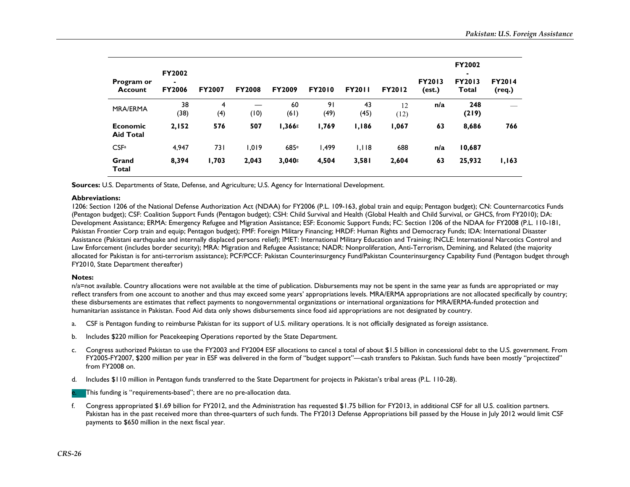| Program or<br><b>Account</b> | <b>FY2002</b><br>$\blacksquare$<br><b>FY2006</b> | <b>FY2007</b> | <b>FY2008</b> | <b>FY2009</b> | <b>FY2010</b> | <b>FY2011</b> | <b>FY2012</b> | <b>FY2013</b><br>(est.) | FY2002<br>۰.<br><b>FY2013</b><br>Total | <b>FY2014</b><br>(req.) |
|------------------------------|--------------------------------------------------|---------------|---------------|---------------|---------------|---------------|---------------|-------------------------|----------------------------------------|-------------------------|
| <b>MRA/ERMA</b>              | 38<br>(38)                                       | 4<br>(4)      | (10)          | 60<br>(61)    | 91<br>(49)    | 43<br>(45)    | 12<br>(12)    | n/a                     | 248<br>(219)                           |                         |
| Economic<br><b>Aid Total</b> | 2,152                                            | 576           | 507           | 1,366s        | 1,769         | 1,186         | 1,067         | 63                      | 8,686                                  | 766                     |
| CSF <sub>a</sub>             | 4,947                                            | 731           | 1.019         | 685e          | 499, ا        | 1,118         | 688           | n/a                     | 10,687                                 |                         |
| Grand<br><b>Total</b>        | 8,394                                            | 1,703         | 2,043         | 3,040s        | 4,504         | 3,581         | 2,604         | 63                      | 25,932                                 | 1,163                   |

**Sources:** U.S. Departments of State, Defense, and Agriculture; U.S. Agency for International Development.

#### **Abbreviations:**

1206: Section 1206 of the National Defense Authorization Act (NDAA) for FY2006 (P.L. 109-163, global train and equip; Pentagon budget); CN: Counternarcotics Funds (Pentagon budget); CSF: Coalition Support Funds (Pentagon budget); CSH: Child Survival and Health (Global Health and Child Survival, or GHCS, from FY2010); DA: Development Assistance; ERMA: Emergency Refugee and Migration Assistance; ESF: Economic Support Funds; FC: Section 1206 of the NDAA for FY2008 (P.L. 110-181, Pakistan Frontier Corp train and equip; Pentagon budget); FMF: Foreign Military Financing; HRDF: Human Rights and Democracy Funds; IDA: International Disaster Assistance (Pakistani earthquake and internally displaced persons relief); IMET: International Military Education and Training; INCLE: International Narcotics Control and Law Enforcement (includes border security); MRA: Migration and Refugee Assistance; NADR: Nonproliferation, Anti-Terrorism, Demining, and Related (the majority allocated for Pakistan is for anti-terrorism assistance); PCF/PCCF: Pakistan Counterinsurgency Fund/Pakistan Counterinsurgency Capability Fund (Pentagon budget through FY2010, State Department thereafter)

#### **Notes:**

n/a=not available. Country allocations were not available at the time of publication. Disbursements may not be spent in the same year as funds are appropriated or may reflect transfers from one account to another and thus may exceed some years' appropriations levels. MRA/ERMA appropriations are not allocated specifically by country; these disbursements are estimates that reflect payments to nongovernmental organizations or international organizations for MRA/ERMA-funded protection and humanitarian assistance in Pakistan. Food Aid data only shows disbursements since food aid appropriations are not designated by country.

- a.CSF is Pentagon funding to reimburse Pakistan for its support of U.S. military operations. It is not officially designated as foreign assistance.
- b.Includes \$220 million for Peacekeeping Operations reported by the State Department.
- c. Congress authorized Pakistan to use the FY2003 and FY2004 ESF allocations to cancel a total of about \$1.5 billion in concessional debt to the U.S. government. From FY2005-FY2007, \$200 million per year in ESF was delivered in the form of "budget support"—cash transfers to Pakistan. Such funds have been mostly "projectized" from FY2008 on.
- d. Includes \$110 million in Pentagon funds transferred to the State Department for projects in Pakistan's tribal areas (P.L. 110-28).

e.This funding is "requirements-based"; there are no pre-allocation data.

f. Congress appropriated \$1.69 billion for FY2012, and the Administration has requested \$1.75 billion for FY2013, in additional CSF for all U.S. coalition partners. Pakistan has in the past received more than three-quarters of such funds. The FY2013 Defense Appropriations bill passed by the House in July 2012 would limit CSF payments to \$650 million in the next fiscal year.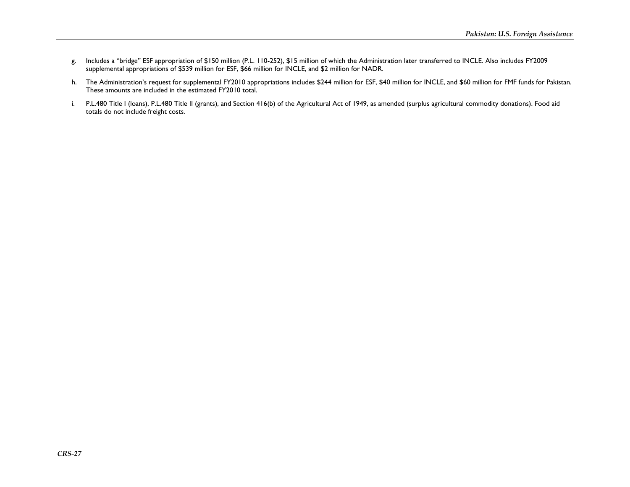- g. Includes a "bridge" ESF appropriation of \$150 million (P.L. 110-252), \$15 million of which the Administration later transferred to INCLE. Also includes FY2009 supplemental appropriations of \$539 million for ESF, \$66 million for INCLE, and \$2 million for NADR.
- h. The Administration's request for supplemental FY2010 appropriations includes \$244 million for ESF, \$40 million for INCLE, and \$60 million for FMF funds for Pakistan. These amounts are included in the estimated FY2010 total.
- i. P.L.480 Title I (loans), P.L.480 Title II (grants), and Section 416(b) of the Agricultural Act of 1949, as amended (surplus agricultural commodity donations). Food aid totals do not include freight costs.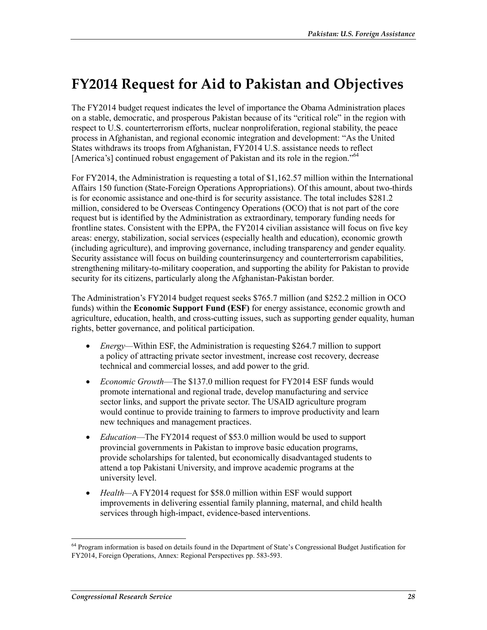# **FY2014 Request for Aid to Pakistan and Objectives**

The FY2014 budget request indicates the level of importance the Obama Administration places on a stable, democratic, and prosperous Pakistan because of its "critical role" in the region with respect to U.S. counterterrorism efforts, nuclear nonproliferation, regional stability, the peace process in Afghanistan, and regional economic integration and development: "As the United States withdraws its troops from Afghanistan, FY2014 U.S. assistance needs to reflect [America's] continued robust engagement of Pakistan and its role in the region."<sup>64</sup>

For FY2014, the Administration is requesting a total of \$1,162.57 million within the International Affairs 150 function (State-Foreign Operations Appropriations). Of this amount, about two-thirds is for economic assistance and one-third is for security assistance. The total includes \$281.2 million, considered to be Overseas Contingency Operations (OCO) that is not part of the core request but is identified by the Administration as extraordinary, temporary funding needs for frontline states. Consistent with the EPPA, the FY2014 civilian assistance will focus on five key areas: energy, stabilization, social services (especially health and education), economic growth (including agriculture), and improving governance, including transparency and gender equality. Security assistance will focus on building counterinsurgency and counterterrorism capabilities, strengthening military-to-military cooperation, and supporting the ability for Pakistan to provide security for its citizens, particularly along the Afghanistan-Pakistan border.

The Administration's FY2014 budget request seeks \$765.7 million (and \$252.2 million in OCO funds) within the **Economic Support Fund (ESF)** for energy assistance, economic growth and agriculture, education, health, and cross-cutting issues, such as supporting gender equality, human rights, better governance, and political participation.

- *Energy—*Within ESF, the Administration is requesting \$264.7 million to support a policy of attracting private sector investment, increase cost recovery, decrease technical and commercial losses, and add power to the grid.
- *Economic Growth*—The \$137.0 million request for FY2014 ESF funds would promote international and regional trade, develop manufacturing and service sector links, and support the private sector. The USAID agriculture program would continue to provide training to farmers to improve productivity and learn new techniques and management practices.
- *Education*—The FY2014 request of \$53.0 million would be used to support provincial governments in Pakistan to improve basic education programs, provide scholarships for talented, but economically disadvantaged students to attend a top Pakistani University, and improve academic programs at the university level.
- *Health—*A FY2014 request for \$58.0 million within ESF would support improvements in delivering essential family planning, maternal, and child health services through high-impact, evidence-based interventions.

<sup>1</sup> <sup>64</sup> Program information is based on details found in the Department of State's Congressional Budget Justification for FY2014, Foreign Operations, Annex: Regional Perspectives pp. 583-593.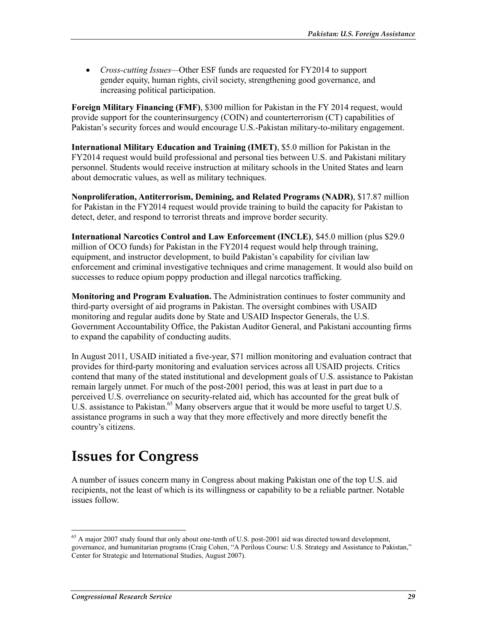• *Cross-cutting Issues—*Other ESF funds are requested for FY2014 to support gender equity, human rights, civil society, strengthening good governance, and increasing political participation.

**Foreign Military Financing (FMF)**, \$300 million for Pakistan in the FY 2014 request, would provide support for the counterinsurgency (COIN) and counterterrorism (CT) capabilities of Pakistan's security forces and would encourage U.S.-Pakistan military-to-military engagement.

**International Military Education and Training (IMET)**, \$5.0 million for Pakistan in the FY2014 request would build professional and personal ties between U.S. and Pakistani military personnel. Students would receive instruction at military schools in the United States and learn about democratic values, as well as military techniques.

**Nonproliferation, Antiterrorism, Demining, and Related Programs (NADR)**, \$17.87 million for Pakistan in the FY2014 request would provide training to build the capacity for Pakistan to detect, deter, and respond to terrorist threats and improve border security.

**International Narcotics Control and Law Enforcement (INCLE)**, \$45.0 million (plus \$29.0 million of OCO funds) for Pakistan in the FY2014 request would help through training, equipment, and instructor development, to build Pakistan's capability for civilian law enforcement and criminal investigative techniques and crime management. It would also build on successes to reduce opium poppy production and illegal narcotics trafficking.

**Monitoring and Program Evaluation.** The Administration continues to foster community and third-party oversight of aid programs in Pakistan. The oversight combines with USAID monitoring and regular audits done by State and USAID Inspector Generals, the U.S. Government Accountability Office, the Pakistan Auditor General, and Pakistani accounting firms to expand the capability of conducting audits.

In August 2011, USAID initiated a five-year, \$71 million monitoring and evaluation contract that provides for third-party monitoring and evaluation services across all USAID projects. Critics contend that many of the stated institutional and development goals of U.S. assistance to Pakistan remain largely unmet. For much of the post-2001 period, this was at least in part due to a perceived U.S. overreliance on security-related aid, which has accounted for the great bulk of U.S. assistance to Pakistan.<sup>65</sup> Many observers argue that it would be more useful to target U.S. assistance programs in such a way that they more effectively and more directly benefit the country's citizens.

# **Issues for Congress**

A number of issues concern many in Congress about making Pakistan one of the top U.S. aid recipients, not the least of which is its willingness or capability to be a reliable partner. Notable issues follow.

<sup>&</sup>lt;sup>65</sup> A major 2007 study found that only about one-tenth of U.S. post-2001 aid was directed toward development, governance, and humanitarian programs (Craig Cohen, "A Perilous Course: U.S. Strategy and Assistance to Pakistan," Center for Strategic and International Studies, August 2007).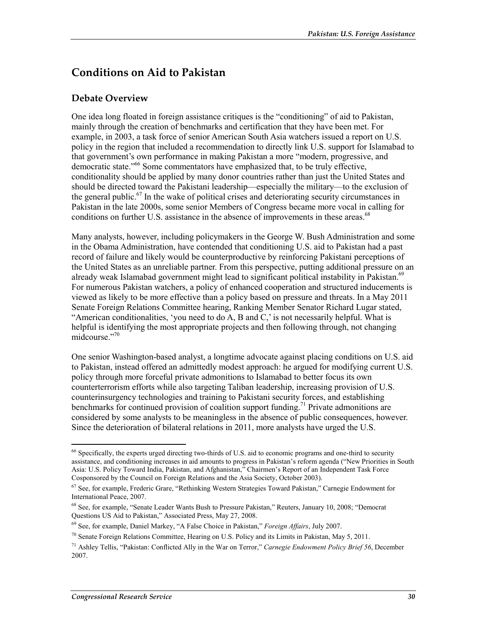## **Conditions on Aid to Pakistan**

#### **Debate Overview**

One idea long floated in foreign assistance critiques is the "conditioning" of aid to Pakistan, mainly through the creation of benchmarks and certification that they have been met. For example, in 2003, a task force of senior American South Asia watchers issued a report on U.S. policy in the region that included a recommendation to directly link U.S. support for Islamabad to that government's own performance in making Pakistan a more "modern, progressive, and democratic state.<sup>566</sup> Some commentators have emphasized that, to be truly effective, conditionality should be applied by many donor countries rather than just the United States and should be directed toward the Pakistani leadership—especially the military—to the exclusion of the general public.67 In the wake of political crises and deteriorating security circumstances in Pakistan in the late 2000s, some senior Members of Congress became more vocal in calling for conditions on further U.S. assistance in the absence of improvements in these areas.<sup>68</sup>

Many analysts, however, including policymakers in the George W. Bush Administration and some in the Obama Administration, have contended that conditioning U.S. aid to Pakistan had a past record of failure and likely would be counterproductive by reinforcing Pakistani perceptions of the United States as an unreliable partner. From this perspective, putting additional pressure on an already weak Islamabad government might lead to significant political instability in Pakistan.<sup>69</sup> For numerous Pakistan watchers, a policy of enhanced cooperation and structured inducements is viewed as likely to be more effective than a policy based on pressure and threats. In a May 2011 Senate Foreign Relations Committee hearing, Ranking Member Senator Richard Lugar stated, "American conditionalities, 'you need to do A, B and C,' is not necessarily helpful. What is helpful is identifying the most appropriate projects and then following through, not changing midcourse."70

One senior Washington-based analyst, a longtime advocate against placing conditions on U.S. aid to Pakistan, instead offered an admittedly modest approach: he argued for modifying current U.S. policy through more forceful private admonitions to Islamabad to better focus its own counterterrorism efforts while also targeting Taliban leadership, increasing provision of U.S. counterinsurgency technologies and training to Pakistani security forces, and establishing benchmarks for continued provision of coalition support funding.<sup>71</sup> Private admonitions are considered by some analysts to be meaningless in the absence of public consequences, however. Since the deterioration of bilateral relations in 2011, more analysts have urged the U.S.

 $66$  Specifically, the experts urged directing two-thirds of U.S. aid to economic programs and one-third to security assistance, and conditioning increases in aid amounts to progress in Pakistan's reform agenda ("New Priorities in South Asia: U.S. Policy Toward India, Pakistan, and Afghanistan," Chairmen's Report of an Independent Task Force Cosponsored by the Council on Foreign Relations and the Asia Society, October 2003).

<sup>67</sup> See, for example, Frederic Grare, "Rethinking Western Strategies Toward Pakistan," Carnegie Endowment for International Peace, 2007.

<sup>68</sup> See, for example, "Senate Leader Wants Bush to Pressure Pakistan," Reuters, January 10, 2008; "Democrat Questions US Aid to Pakistan," Associated Press, May 27, 2008.

<sup>69</sup> See, for example, Daniel Markey, "A False Choice in Pakistan," *Foreign Affairs*, July 2007.

 $^{70}$  Senate Foreign Relations Committee, Hearing on U.S. Policy and its Limits in Pakistan, May 5, 2011.

<sup>71</sup> Ashley Tellis, "Pakistan: Conflicted Ally in the War on Terror," *Carnegie Endowment Policy Brief 56*, December 2007.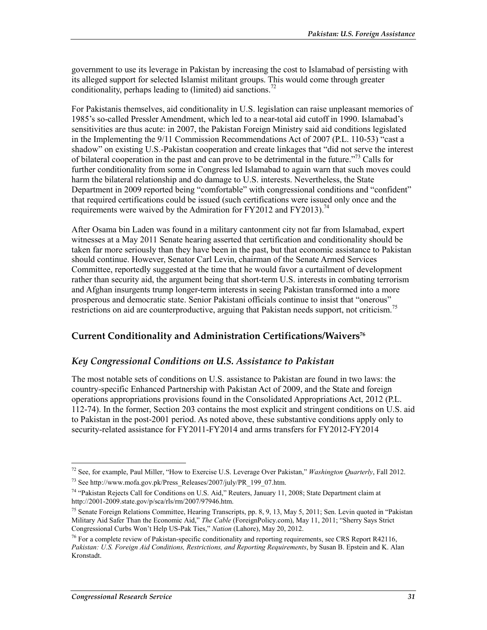government to use its leverage in Pakistan by increasing the cost to Islamabad of persisting with its alleged support for selected Islamist militant groups. This would come through greater conditionality, perhaps leading to (limited) aid sanctions.<sup>72</sup>

For Pakistanis themselves, aid conditionality in U.S. legislation can raise unpleasant memories of 1985's so-called Pressler Amendment, which led to a near-total aid cutoff in 1990. Islamabad's sensitivities are thus acute: in 2007, the Pakistan Foreign Ministry said aid conditions legislated in the Implementing the 9/11 Commission Recommendations Act of 2007 (P.L. 110-53) "cast a shadow" on existing U.S.-Pakistan cooperation and create linkages that "did not serve the interest of bilateral cooperation in the past and can prove to be detrimental in the future."73 Calls for further conditionality from some in Congress led Islamabad to again warn that such moves could harm the bilateral relationship and do damage to U.S. interests. Nevertheless, the State Department in 2009 reported being "comfortable" with congressional conditions and "confident" that required certifications could be issued (such certifications were issued only once and the requirements were waived by the Admiration for FY2012 and FY2013).<sup>74</sup>

After Osama bin Laden was found in a military cantonment city not far from Islamabad, expert witnesses at a May 2011 Senate hearing asserted that certification and conditionality should be taken far more seriously than they have been in the past, but that economic assistance to Pakistan should continue. However, Senator Carl Levin, chairman of the Senate Armed Services Committee, reportedly suggested at the time that he would favor a curtailment of development rather than security aid, the argument being that short-term U.S. interests in combating terrorism and Afghan insurgents trump longer-term interests in seeing Pakistan transformed into a more prosperous and democratic state. Senior Pakistani officials continue to insist that "onerous" restrictions on aid are counterproductive, arguing that Pakistan needs support, not criticism.<sup>75</sup>

#### **Current Conditionality and Administration Certifications/Waivers76**

#### *Key Congressional Conditions on U.S. Assistance to Pakistan*

The most notable sets of conditions on U.S. assistance to Pakistan are found in two laws: the country-specific Enhanced Partnership with Pakistan Act of 2009, and the State and foreign operations appropriations provisions found in the Consolidated Appropriations Act, 2012 (P.L. 112-74). In the former, Section 203 contains the most explicit and stringent conditions on U.S. aid to Pakistan in the post-2001 period. As noted above, these substantive conditions apply only to security-related assistance for FY2011-FY2014 and arms transfers for FY2012-FY2014

<sup>72</sup> See, for example, Paul Miller, "How to Exercise U.S. Leverage Over Pakistan," *Washington Quarterly*, Fall 2012.

<sup>73</sup> See http://www.mofa.gov.pk/Press\_Releases/2007/july/PR\_199\_07.htm.

<sup>74 &</sup>quot;Pakistan Rejects Call for Conditions on U.S. Aid," Reuters, January 11, 2008; State Department claim at http://2001-2009.state.gov/p/sca/rls/rm/2007/97946.htm.

<sup>&</sup>lt;sup>75</sup> Senate Foreign Relations Committee, Hearing Transcripts, pp. 8, 9, 13, May 5, 2011; Sen. Levin quoted in "Pakistan Military Aid Safer Than the Economic Aid," *The Cable* (ForeignPolicy.com), May 11, 2011; "Sherry Says Strict Congressional Curbs Won't Help US-Pak Ties," *Nation* (Lahore), May 20, 2012.

 $^{76}$  For a complete review of Pakistan-specific conditionality and reporting requirements, see CRS Report R42116, *Pakistan: U.S. Foreign Aid Conditions, Restrictions, and Reporting Requirements*, by Susan B. Epstein and K. Alan Kronstadt.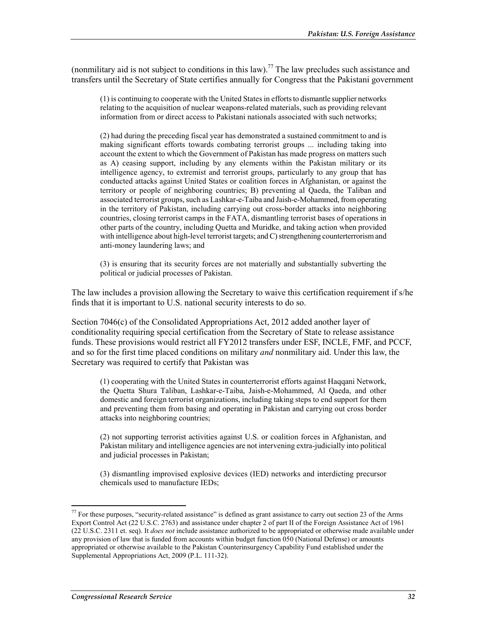(nonmilitary aid is not subject to conditions in this law).<sup>77</sup> The law precludes such assistance and transfers until the Secretary of State certifies annually for Congress that the Pakistani government

(1) is continuing to cooperate with the United States in efforts to dismantle supplier networks relating to the acquisition of nuclear weapons-related materials, such as providing relevant information from or direct access to Pakistani nationals associated with such networks;

(2) had during the preceding fiscal year has demonstrated a sustained commitment to and is making significant efforts towards combating terrorist groups ... including taking into account the extent to which the Government of Pakistan has made progress on matters such as A) ceasing support, including by any elements within the Pakistan military or its intelligence agency, to extremist and terrorist groups, particularly to any group that has conducted attacks against United States or coalition forces in Afghanistan, or against the territory or people of neighboring countries; B) preventing al Qaeda, the Taliban and associated terrorist groups, such as Lashkar-e-Taiba and Jaish-e-Mohammed, from operating in the territory of Pakistan, including carrying out cross-border attacks into neighboring countries, closing terrorist camps in the FATA, dismantling terrorist bases of operations in other parts of the country, including Quetta and Muridke, and taking action when provided with intelligence about high-level terrorist targets; and C) strengthening counterterrorism and anti-money laundering laws; and

(3) is ensuring that its security forces are not materially and substantially subverting the political or judicial processes of Pakistan.

The law includes a provision allowing the Secretary to waive this certification requirement if s/he finds that it is important to U.S. national security interests to do so.

Section 7046(c) of the Consolidated Appropriations Act, 2012 added another layer of conditionality requiring special certification from the Secretary of State to release assistance funds. These provisions would restrict all FY2012 transfers under ESF, INCLE, FMF, and PCCF, and so for the first time placed conditions on military *and* nonmilitary aid. Under this law, the Secretary was required to certify that Pakistan was

(1) cooperating with the United States in counterterrorist efforts against Haqqani Network, the Quetta Shura Taliban, Lashkar-e-Taiba, Jaish-e-Mohammed, Al Qaeda, and other domestic and foreign terrorist organizations, including taking steps to end support for them and preventing them from basing and operating in Pakistan and carrying out cross border attacks into neighboring countries;

(2) not supporting terrorist activities against U.S. or coalition forces in Afghanistan, and Pakistan military and intelligence agencies are not intervening extra-judicially into political and judicial processes in Pakistan;

(3) dismantling improvised explosive devices (IED) networks and interdicting precursor chemicals used to manufacture IEDs;

 $77$  For these purposes, "security-related assistance" is defined as grant assistance to carry out section 23 of the Arms Export Control Act (22 U.S.C. 2763) and assistance under chapter 2 of part II of the Foreign Assistance Act of 1961 (22 U.S.C. 2311 et. seq). It *does not* include assistance authorized to be appropriated or otherwise made available under any provision of law that is funded from accounts within budget function 050 (National Defense) or amounts appropriated or otherwise available to the Pakistan Counterinsurgency Capability Fund established under the Supplemental Appropriations Act, 2009 (P.L. 111-32).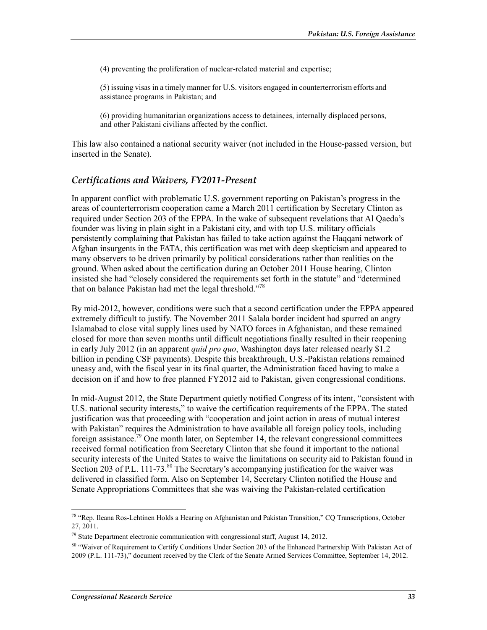(4) preventing the proliferation of nuclear-related material and expertise;

(5) issuing visas in a timely manner for U.S. visitors engaged in counterterrorism efforts and assistance programs in Pakistan; and

(6) providing humanitarian organizations access to detainees, internally displaced persons, and other Pakistani civilians affected by the conflict.

This law also contained a national security waiver (not included in the House-passed version, but inserted in the Senate).

#### *Certifications and Waivers, FY2011-Present*

In apparent conflict with problematic U.S. government reporting on Pakistan's progress in the areas of counterterrorism cooperation came a March 2011 certification by Secretary Clinton as required under Section 203 of the EPPA. In the wake of subsequent revelations that Al Qaeda's founder was living in plain sight in a Pakistani city, and with top U.S. military officials persistently complaining that Pakistan has failed to take action against the Haqqani network of Afghan insurgents in the FATA, this certification was met with deep skepticism and appeared to many observers to be driven primarily by political considerations rather than realities on the ground. When asked about the certification during an October 2011 House hearing, Clinton insisted she had "closely considered the requirements set forth in the statute" and "determined that on balance Pakistan had met the legal threshold."78

By mid-2012, however, conditions were such that a second certification under the EPPA appeared extremely difficult to justify. The November 2011 Salala border incident had spurred an angry Islamabad to close vital supply lines used by NATO forces in Afghanistan, and these remained closed for more than seven months until difficult negotiations finally resulted in their reopening in early July 2012 (in an apparent *quid pro quo*, Washington days later released nearly \$1.2 billion in pending CSF payments). Despite this breakthrough, U.S.-Pakistan relations remained uneasy and, with the fiscal year in its final quarter, the Administration faced having to make a decision on if and how to free planned FY2012 aid to Pakistan, given congressional conditions.

In mid-August 2012, the State Department quietly notified Congress of its intent, "consistent with U.S. national security interests," to waive the certification requirements of the EPPA. The stated justification was that proceeding with "cooperation and joint action in areas of mutual interest with Pakistan" requires the Administration to have available all foreign policy tools, including foreign assistance.<sup>79</sup> One month later, on September 14, the relevant congressional committees received formal notification from Secretary Clinton that she found it important to the national security interests of the United States to waive the limitations on security aid to Pakistan found in Section 203 of P.L. 111-73.<sup>80</sup> The Secretary's accompanying justification for the waiver was delivered in classified form. Also on September 14, Secretary Clinton notified the House and Senate Appropriations Committees that she was waiving the Pakistan-related certification

<sup>&</sup>lt;sup>78</sup> "Rep. Ileana Ros-Lehtinen Holds a Hearing on Afghanistan and Pakistan Transition," CQ Transcriptions, October 27, 2011.

 $79$  State Department electronic communication with congressional staff, August 14, 2012.

<sup>80 &</sup>quot;Waiver of Requirement to Certify Conditions Under Section 203 of the Enhanced Partnership With Pakistan Act of 2009 (P.L. 111-73)," document received by the Clerk of the Senate Armed Services Committee, September 14, 2012.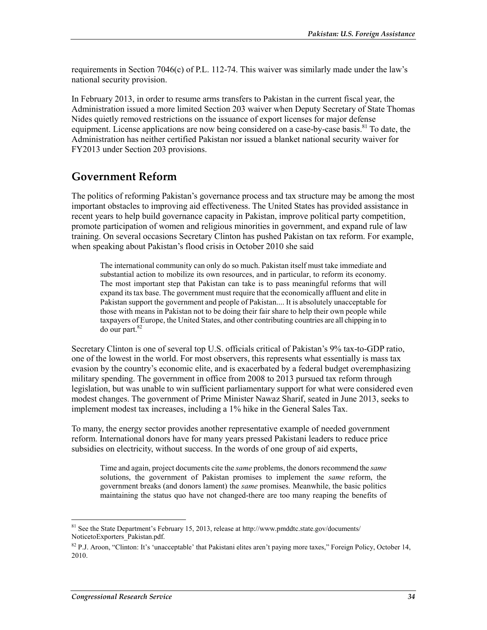requirements in Section 7046(c) of P.L. 112-74. This waiver was similarly made under the law's national security provision.

In February 2013, in order to resume arms transfers to Pakistan in the current fiscal year, the Administration issued a more limited Section 203 waiver when Deputy Secretary of State Thomas Nides quietly removed restrictions on the issuance of export licenses for major defense equipment. License applications are now being considered on a case-by-case basis.<sup>81</sup> To date, the Administration has neither certified Pakistan nor issued a blanket national security waiver for FY2013 under Section 203 provisions.

### **Government Reform**

The politics of reforming Pakistan's governance process and tax structure may be among the most important obstacles to improving aid effectiveness. The United States has provided assistance in recent years to help build governance capacity in Pakistan, improve political party competition, promote participation of women and religious minorities in government, and expand rule of law training. On several occasions Secretary Clinton has pushed Pakistan on tax reform. For example, when speaking about Pakistan's flood crisis in October 2010 she said

The international community can only do so much. Pakistan itself must take immediate and substantial action to mobilize its own resources, and in particular, to reform its economy. The most important step that Pakistan can take is to pass meaningful reforms that will expand its tax base. The government must require that the economically affluent and elite in Pakistan support the government and people of Pakistan.... It is absolutely unacceptable for those with means in Pakistan not to be doing their fair share to help their own people while taxpayers of Europe, the United States, and other contributing countries are all chipping in to  $\frac{1}{2}$  do our part.<sup>82</sup>

Secretary Clinton is one of several top U.S. officials critical of Pakistan's 9% tax-to-GDP ratio, one of the lowest in the world. For most observers, this represents what essentially is mass tax evasion by the country's economic elite, and is exacerbated by a federal budget overemphasizing military spending. The government in office from 2008 to 2013 pursued tax reform through legislation, but was unable to win sufficient parliamentary support for what were considered even modest changes. The government of Prime Minister Nawaz Sharif, seated in June 2013, seeks to implement modest tax increases, including a 1% hike in the General Sales Tax.

To many, the energy sector provides another representative example of needed government reform. International donors have for many years pressed Pakistani leaders to reduce price subsidies on electricity, without success. In the words of one group of aid experts,

Time and again, project documents cite the *same* problems, the donors recommend the *same* solutions, the government of Pakistan promises to implement the *same* reform, the government breaks (and donors lament) the *same* promises. Meanwhile, the basic politics maintaining the status quo have not changed-there are too many reaping the benefits of

 $81$  See the State Department's February 15, 2013, release at http://www.pmddtc.state.gov/documents/ NoticetoExporters\_Pakistan.pdf.

<sup>&</sup>lt;sup>82</sup> P.J. Aroon, "Clinton: It's 'unacceptable' that Pakistani elites aren't paying more taxes," Foreign Policy, October 14, 2010.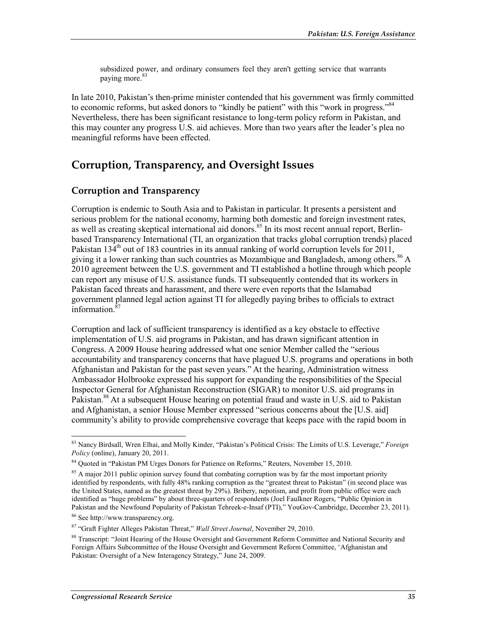subsidized power, and ordinary consumers feel they aren't getting service that warrants paying more.<sup>83</sup>

In late 2010, Pakistan's then-prime minister contended that his government was firmly committed to economic reforms, but asked donors to "kindly be patient" with this "work in progress."<sup>84</sup> Nevertheless, there has been significant resistance to long-term policy reform in Pakistan, and this may counter any progress U.S. aid achieves. More than two years after the leader's plea no meaningful reforms have been effected.

## **Corruption, Transparency, and Oversight Issues**

#### **Corruption and Transparency**

Corruption is endemic to South Asia and to Pakistan in particular. It presents a persistent and serious problem for the national economy, harming both domestic and foreign investment rates, as well as creating skeptical international aid donors.<sup>85</sup> In its most recent annual report, Berlinbased Transparency International (TI, an organization that tracks global corruption trends) placed Pakistan  $134<sup>th</sup>$  out of 183 countries in its annual ranking of world corruption levels for 2011, giving it a lower ranking than such countries as Mozambique and Bangladesh, among others.<sup>86</sup> A 2010 agreement between the U.S. government and TI established a hotline through which people can report any misuse of U.S. assistance funds. TI subsequently contended that its workers in Pakistan faced threats and harassment, and there were even reports that the Islamabad government planned legal action against TI for allegedly paying bribes to officials to extract information.<sup>8</sup>

Corruption and lack of sufficient transparency is identified as a key obstacle to effective implementation of U.S. aid programs in Pakistan, and has drawn significant attention in Congress. A 2009 House hearing addressed what one senior Member called the "serious accountability and transparency concerns that have plagued U.S. programs and operations in both Afghanistan and Pakistan for the past seven years." At the hearing, Administration witness Ambassador Holbrooke expressed his support for expanding the responsibilities of the Special Inspector General for Afghanistan Reconstruction (SIGAR) to monitor U.S. aid programs in Pakistan.<sup>88</sup> At a subsequent House hearing on potential fraud and waste in U.S. aid to Pakistan and Afghanistan, a senior House Member expressed "serious concerns about the [U.S. aid] community's ability to provide comprehensive coverage that keeps pace with the rapid boom in

<sup>&</sup>lt;u>.</u> 83 Nancy Birdsall, Wren Elhai, and Molly Kinder, "Pakistan's Political Crisis: The Limits of U.S. Leverage," *Foreign Policy* (online), January 20, 2011.

<sup>&</sup>lt;sup>84</sup> Quoted in "Pakistan PM Urges Donors for Patience on Reforms," Reuters, November 15, 2010.

 $85$  A major 2011 public opinion survey found that combating corruption was by far the most important priority identified by respondents, with fully 48% ranking corruption as the "greatest threat to Pakistan" (in second place was the United States, named as the greatest threat by 29%). Bribery, nepotism, and profit from public office were each identified as "huge problems" by about three-quarters of respondents (Joel Faulkner Rogers, "Public Opinion in Pakistan and the Newfound Popularity of Pakistan Tehreek-e-Insaf (PTI)," YouGov-Cambridge, December 23, 2011).

<sup>86</sup> See http://www.transparency.org.

<sup>87 &</sup>quot;Graft Fighter Alleges Pakistan Threat," *Wall Street Journal*, November 29, 2010.

<sup>88</sup> Transcript: "Joint Hearing of the House Oversight and Government Reform Committee and National Security and Foreign Affairs Subcommittee of the House Oversight and Government Reform Committee, 'Afghanistan and Pakistan: Oversight of a New Interagency Strategy," June 24, 2009.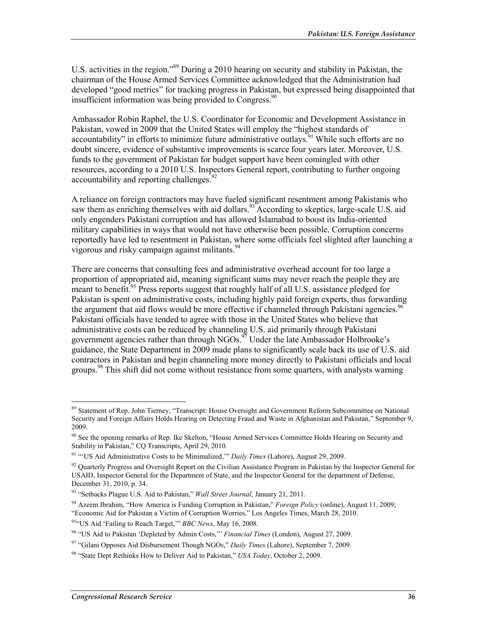U.S. activities in the region."<sup>89</sup> During a 2010 hearing on security and stability in Pakistan, the chairman of the House Armed Services Committee acknowledged that the Administration had developed "good metrics" for tracking progress in Pakistan, but expressed being disappointed that insufficient information was being provided to Congress. $90$ 

Ambassador Robin Raphel, the U.S. Coordinator for Economic and Development Assistance in Pakistan, vowed in 2009 that the United States will employ the "highest standards of accountability" in efforts to minimize future administrative outlays. While such efforts are no doubt sincere, evidence of substantive improvements is scarce four years later. Moreover, U.S. funds to the government of Pakistan for budget support have been comingled with other resources, according to a 2010 U.S. Inspectors General report, contributing to further ongoing accountability and reporting challenges.<sup>92</sup>

A reliance on foreign contractors may have fueled significant resentment among Pakistanis who saw them as enriching themselves with aid dollars.<sup>93</sup> According to skeptics, large-scale U.S. aid only engenders Pakistani corruption and has allowed Islamabad to boost its India-oriented military capabilities in ways that would not have otherwise been possible. Corruption concerns reportedly have led to resentment in Pakistan, where some officials feel slighted after launching a vigorous and risky campaign against militants.<sup>94</sup>

There are concerns that consulting fees and administrative overhead account for too large a proportion of appropriated aid, meaning significant sums may never reach the people they are meant to benefit.<sup>95</sup> Press reports suggest that roughly half of all U.S. assistance pledged for Pakistan is spent on administrative costs, including highly paid foreign experts, thus forwarding the argument that aid flows would be more effective if channeled through Pakistani agencies.<sup>96</sup> Pakistani officials have tended to agree with those in the United States who believe that administrative costs can be reduced by channeling U.S. aid primarily through Pakistani government agencies rather than through NGOs.<sup>97</sup> Under the late Ambassador Holbrooke's guidance, the State Department in 2009 made plans to significantly scale back its use of U.S. aid contractors in Pakistan and begin channeling more money directly to Pakistani officials and local groups.98 This shift did not come without resistance from some quarters, with analysts warning

<u>.</u>

<sup>&</sup>lt;sup>89</sup> Statement of Rep. John Tierney, "Transcript: House Oversight and Government Reform Subcommittee on National Security and Foreign Affairs Holds Hearing on Detecting Fraud and Waste in Afghanistan and Pakistan," September 9, 2009.

<sup>&</sup>lt;sup>90</sup> See the opening remarks of Rep. Ike Skelton, "House Armed Services Committee Holds Hearing on Security and Stability in Pakistan," CQ Transcripts, April 29, 2010.

<sup>91 &</sup>quot;'US Aid Administrative Costs to be Minimalized,'" *Daily Times* (Lahore), August 29, 2009.

 $92$  Quarterly Progress and Oversight Report on the Civilian Assistance Program in Pakistan by the Inspector General for USAID, Inspector General for the Department of State, and the Inspector General for the department of Defense, December 31, 2010, p. 34.

<sup>93 &</sup>quot;Setbacks Plague U.S. Aid to Pakistan," *Wall Street Journal*, January 21, 2011.

<sup>94</sup> Azeem Ibrahim, "How America is Funding Corruption in Pakistan," *Foreign Policy* (online), August 11, 2009; "Economic Aid for Pakistan a Victim of Corruption Worries," Los Angeles Times, March 28, 2010.

<sup>95&</sup>quot;US Aid 'Failing to Reach Target,'" *BBC News*, May 16, 2008.

<sup>96 &</sup>quot;US Aid to Pakistan 'Depleted by Admin Costs,'" *Financial Times* (London), August 27, 2009.

<sup>97 &</sup>quot;Gilani Opposes Aid Disbursement Though NGOs," *Daily Times* (Lahore), September 7, 2009.

<sup>98 &</sup>quot;State Dept Rethinks How to Deliver Aid to Pakistan," *USA Today*, October 2, 2009.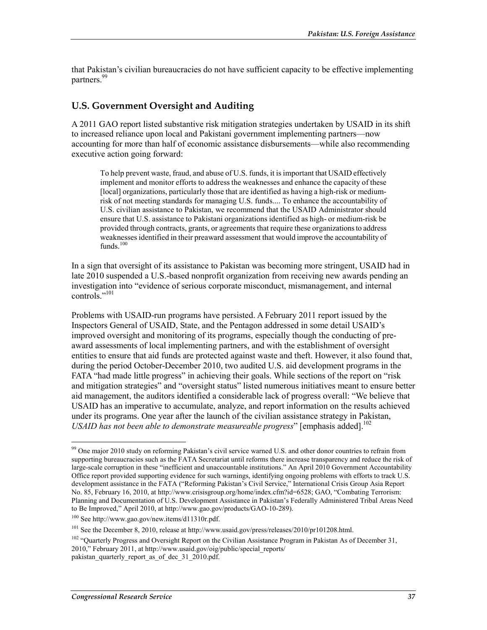that Pakistan's civilian bureaucracies do not have sufficient capacity to be effective implementing partners.<sup>99</sup>

#### **U.S. Government Oversight and Auditing**

A 2011 GAO report listed substantive risk mitigation strategies undertaken by USAID in its shift to increased reliance upon local and Pakistani government implementing partners—now accounting for more than half of economic assistance disbursements—while also recommending executive action going forward:

To help prevent waste, fraud, and abuse of U.S. funds, it is important that USAID effectively implement and monitor efforts to address the weaknesses and enhance the capacity of these [local] organizations, particularly those that are identified as having a high-risk or mediumrisk of not meeting standards for managing U.S. funds.... To enhance the accountability of U.S. civilian assistance to Pakistan, we recommend that the USAID Administrator should ensure that U.S. assistance to Pakistani organizations identified as high- or medium-risk be provided through contracts, grants, or agreements that require these organizations to address weaknesses identified in their preaward assessment that would improve the accountability of funds.<sup>100</sup>

In a sign that oversight of its assistance to Pakistan was becoming more stringent, USAID had in late 2010 suspended a U.S.-based nonprofit organization from receiving new awards pending an investigation into "evidence of serious corporate misconduct, mismanagement, and internal controls."101

Problems with USAID-run programs have persisted. A February 2011 report issued by the Inspectors General of USAID, State, and the Pentagon addressed in some detail USAID's improved oversight and monitoring of its programs, especially though the conducting of preaward assessments of local implementing partners, and with the establishment of oversight entities to ensure that aid funds are protected against waste and theft. However, it also found that, during the period October-December 2010, two audited U.S. aid development programs in the FATA "had made little progress" in achieving their goals. While sections of the report on "risk and mitigation strategies" and "oversight status" listed numerous initiatives meant to ensure better aid management, the auditors identified a considerable lack of progress overall: "We believe that USAID has an imperative to accumulate, analyze, and report information on the results achieved under its programs. One year after the launch of the civilian assistance strategy in Pakistan, *USAID has not been able to demonstrate measureable progress*" [emphasis added].<sup>102</sup>

<u>.</u>

 $99$  One major 2010 study on reforming Pakistan's civil service warned U.S. and other donor countries to refrain from supporting bureaucracies such as the FATA Secretariat until reforms there increase transparency and reduce the risk of large-scale corruption in these "inefficient and unaccountable institutions." An April 2010 Government Accountability Office report provided supporting evidence for such warnings, identifying ongoing problems with efforts to track U.S. development assistance in the FATA ("Reforming Pakistan's Civil Service," International Crisis Group Asia Report No. 85, February 16, 2010, at http://www.crisisgroup.org/home/index.cfm?id=6528; GAO, "Combating Terrorism: Planning and Documentation of U.S. Development Assistance in Pakistan's Federally Administered Tribal Areas Need to Be Improved," April 2010, at http://www.gao.gov/products/GAO-10-289).

<sup>100</sup> See http://www.gao.gov/new.items/d11310r.pdf.

<sup>&</sup>lt;sup>101</sup> See the December 8, 2010, release at http://www.usaid.gov/press/releases/2010/pr101208.html.

 $102$  "Quarterly Progress and Oversight Report on the Civilian Assistance Program in Pakistan As of December 31, 2010," February 2011, at http://www.usaid.gov/oig/public/special\_reports/ pakistan\_quarterly\_report\_as\_of\_dec\_31\_2010.pdf.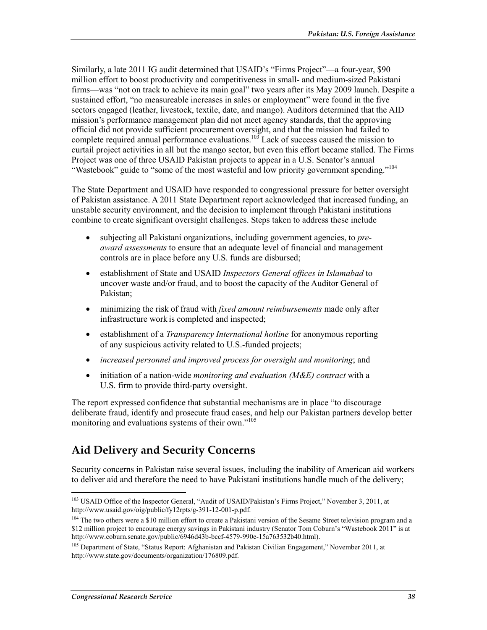Similarly, a late 2011 IG audit determined that USAID's "Firms Project"—a four-year, \$90 million effort to boost productivity and competitiveness in small- and medium-sized Pakistani firms—was "not on track to achieve its main goal" two years after its May 2009 launch. Despite a sustained effort, "no measureable increases in sales or employment" were found in the five sectors engaged (leather, livestock, textile, date, and mango). Auditors determined that the AID mission's performance management plan did not meet agency standards, that the approving official did not provide sufficient procurement oversight, and that the mission had failed to complete required annual performance evaluations.<sup>103</sup> Lack of success caused the mission to curtail project activities in all but the mango sector, but even this effort became stalled. The Firms Project was one of three USAID Pakistan projects to appear in a U.S. Senator's annual "Wastebook" guide to "some of the most wasteful and low priority government spending."<sup>104</sup>

The State Department and USAID have responded to congressional pressure for better oversight of Pakistan assistance. A 2011 State Department report acknowledged that increased funding, an unstable security environment, and the decision to implement through Pakistani institutions combine to create significant oversight challenges. Steps taken to address these include

- subjecting all Pakistani organizations, including government agencies, to *preaward assessments* to ensure that an adequate level of financial and management controls are in place before any U.S. funds are disbursed;
- establishment of State and USAID *Inspectors General offices in Islamabad* to uncover waste and/or fraud, and to boost the capacity of the Auditor General of Pakistan;
- minimizing the risk of fraud with *fixed amount reimbursements* made only after infrastructure work is completed and inspected;
- establishment of a *Transparency International hotline* for anonymous reporting of any suspicious activity related to U.S.-funded projects;
- *increased personnel and improved process for oversight and monitoring*; and
- initiation of a nation-wide *monitoring and evaluation (M&E) contract* with a U.S. firm to provide third-party oversight.

The report expressed confidence that substantial mechanisms are in place "to discourage deliberate fraud, identify and prosecute fraud cases, and help our Pakistan partners develop better monitoring and evaluations systems of their own."<sup>105</sup>

# **Aid Delivery and Security Concerns**

Security concerns in Pakistan raise several issues, including the inability of American aid workers to deliver aid and therefore the need to have Pakistani institutions handle much of the delivery;

<sup>1</sup> <sup>103</sup> USAID Office of the Inspector General, "Audit of USAID/Pakistan's Firms Project," November 3, 2011, at http://www.usaid.gov/oig/public/fy12rpts/g-391-12-001-p.pdf.

<sup>&</sup>lt;sup>104</sup> The two others were a \$10 million effort to create a Pakistani version of the Sesame Street television program and a \$12 million project to encourage energy savings in Pakistani industry (Senator Tom Coburn's "Wastebook 2011" is at http://www.coburn.senate.gov/public/6946d43b-bccf-4579-990e-15a763532b40.html).

<sup>&</sup>lt;sup>105</sup> Department of State, "Status Report: Afghanistan and Pakistan Civilian Engagement," November 2011, at http://www.state.gov/documents/organization/176809.pdf.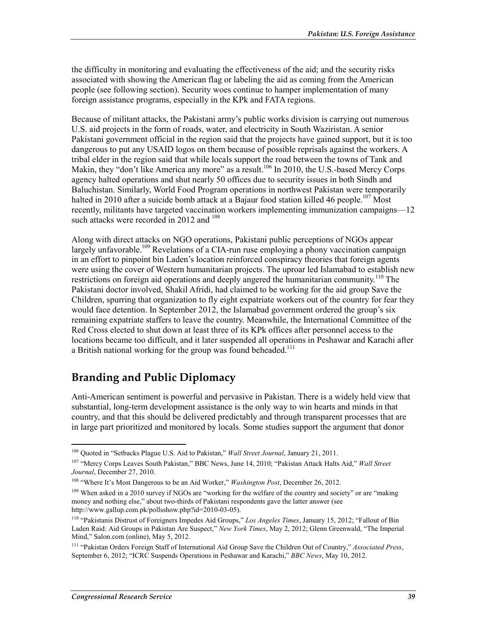the difficulty in monitoring and evaluating the effectiveness of the aid; and the security risks associated with showing the American flag or labeling the aid as coming from the American people (see following section). Security woes continue to hamper implementation of many foreign assistance programs, especially in the KPk and FATA regions.

Because of militant attacks, the Pakistani army's public works division is carrying out numerous U.S. aid projects in the form of roads, water, and electricity in South Waziristan. A senior Pakistani government official in the region said that the projects have gained support, but it is too dangerous to put any USAID logos on them because of possible reprisals against the workers. A tribal elder in the region said that while locals support the road between the towns of Tank and Makin, they "don't like America any more" as a result.<sup>106</sup> In 2010, the U.S.-based Mercy Corps agency halted operations and shut nearly 50 offices due to security issues in both Sindh and Baluchistan. Similarly, World Food Program operations in northwest Pakistan were temporarily halted in 2010 after a suicide bomb attack at a Bajaur food station killed 46 people.<sup>107</sup> Most recently, militants have targeted vaccination workers implementing immunization campaigns—12 such attacks were recorded in 2012 and <sup>108</sup>

Along with direct attacks on NGO operations, Pakistani public perceptions of NGOs appear largely unfavorable.<sup>109</sup> Revelations of a CIA-run ruse employing a phony vaccination campaign in an effort to pinpoint bin Laden's location reinforced conspiracy theories that foreign agents were using the cover of Western humanitarian projects. The uproar led Islamabad to establish new restrictions on foreign aid operations and deeply angered the humanitarian community.<sup>110</sup> The Pakistani doctor involved, Shakil Afridi, had claimed to be working for the aid group Save the Children, spurring that organization to fly eight expatriate workers out of the country for fear they would face detention. In September 2012, the Islamabad government ordered the group's six remaining expatriate staffers to leave the country. Meanwhile, the International Committee of the Red Cross elected to shut down at least three of its KPk offices after personnel access to the locations became too difficult, and it later suspended all operations in Peshawar and Karachi after a British national working for the group was found beheaded.<sup>111</sup>

# **Branding and Public Diplomacy**

Anti-American sentiment is powerful and pervasive in Pakistan. There is a widely held view that substantial, long-term development assistance is the only way to win hearts and minds in that country, and that this should be delivered predictably and through transparent processes that are in large part prioritized and monitored by locals. Some studies support the argument that donor

<sup>106</sup> Quoted in "Setbacks Plague U.S. Aid to Pakistan," *Wall Street Journal*, January 21, 2011.

<sup>107 &</sup>quot;Mercy Corps Leaves South Pakistan," BBC News, June 14, 2010; "Pakistan Attack Halts Aid," *Wall Street Journal*, December 27, 2010.

<sup>108 &</sup>quot;Where It's Most Dangerous to be an Aid Worker," *Washington Post*, December 26, 2012.

<sup>&</sup>lt;sup>109</sup> When asked in a 2010 survey if NGOs are "working for the welfare of the country and society" or are "making money and nothing else," about two-thirds of Pakistani respondents gave the latter answer (see http://www.gallup.com.pk/pollsshow.php?id=2010-03-05).

<sup>110 &</sup>quot;Pakistanis Distrust of Foreigners Impedes Aid Groups," *Los Angeles Times*, January 15, 2012; "Fallout of Bin Laden Raid: Aid Groups in Pakistan Are Suspect," *New York Times*, May 2, 2012; Glenn Greenwald, "The Imperial Mind," Salon.com (online), May 5, 2012.

<sup>111 &</sup>quot;Pakistan Orders Foreign Staff of International Aid Group Save the Children Out of Country," *Associated Press*, September 6, 2012; "ICRC Suspends Operations in Peshawar and Karachi," *BBC News*, May 10, 2012.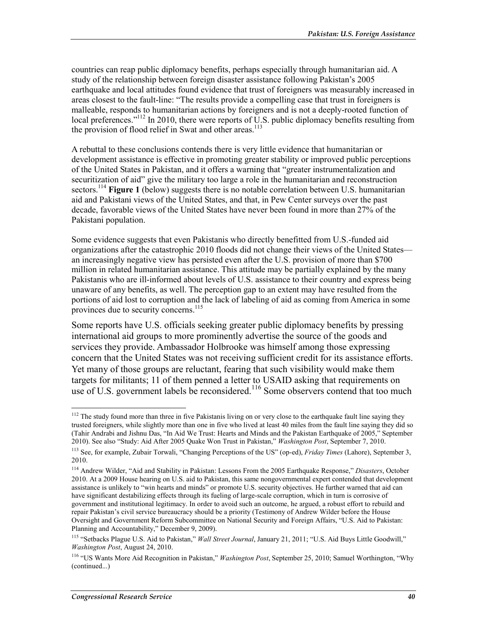countries can reap public diplomacy benefits, perhaps especially through humanitarian aid. A study of the relationship between foreign disaster assistance following Pakistan's 2005 earthquake and local attitudes found evidence that trust of foreigners was measurably increased in areas closest to the fault-line: "The results provide a compelling case that trust in foreigners is malleable, responds to humanitarian actions by foreigners and is not a deeply-rooted function of local preferences."<sup>112</sup> In 2010, there were reports of U.S. public diplomacy benefits resulting from the provision of flood relief in Swat and other areas.<sup>113</sup>

A rebuttal to these conclusions contends there is very little evidence that humanitarian or development assistance is effective in promoting greater stability or improved public perceptions of the United States in Pakistan, and it offers a warning that "greater instrumentalization and securitization of aid" give the military too large a role in the humanitarian and reconstruction sectors.<sup>114</sup> Figure 1 (below) suggests there is no notable correlation between U.S. humanitarian aid and Pakistani views of the United States, and that, in Pew Center surveys over the past decade, favorable views of the United States have never been found in more than 27% of the Pakistani population.

Some evidence suggests that even Pakistanis who directly benefitted from U.S.-funded aid organizations after the catastrophic 2010 floods did not change their views of the United States an increasingly negative view has persisted even after the U.S. provision of more than \$700 million in related humanitarian assistance. This attitude may be partially explained by the many Pakistanis who are ill-informed about levels of U.S. assistance to their country and express being unaware of any benefits, as well. The perception gap to an extent may have resulted from the portions of aid lost to corruption and the lack of labeling of aid as coming from America in some provinces due to security concerns.<sup>115</sup>

Some reports have U.S. officials seeking greater public diplomacy benefits by pressing international aid groups to more prominently advertise the source of the goods and services they provide. Ambassador Holbrooke was himself among those expressing concern that the United States was not receiving sufficient credit for its assistance efforts. Yet many of those groups are reluctant, fearing that such visibility would make them targets for militants; 11 of them penned a letter to USAID asking that requirements on use of U.S. government labels be reconsidered.<sup>116</sup> Some observers contend that too much

 $112$  The study found more than three in five Pakistanis living on or very close to the earthquake fault line saying they trusted foreigners, while slightly more than one in five who lived at least 40 miles from the fault line saying they did so (Tahir Andrabi and Jishnu Das, "In Aid We Trust: Hearts and Minds and the Pakistan Earthquake of 2005," September 2010). See also "Study: Aid After 2005 Quake Won Trust in Pakistan," *Washington Post*, September 7, 2010.

<sup>113</sup> See, for example, Zubair Torwali, "Changing Perceptions of the US" (op-ed), *Friday Times* (Lahore), September 3, 2010.

<sup>114</sup> Andrew Wilder, "Aid and Stability in Pakistan: Lessons From the 2005 Earthquake Response," *Disasters*, October 2010. At a 2009 House hearing on U.S. aid to Pakistan, this same nongovernmental expert contended that development assistance is unlikely to "win hearts and minds" or promote U.S. security objectives. He further warned that aid can have significant destabilizing effects through its fueling of large-scale corruption, which in turn is corrosive of government and institutional legitimacy. In order to avoid such an outcome, he argued, a robust effort to rebuild and repair Pakistan's civil service bureaucracy should be a priority (Testimony of Andrew Wilder before the House Oversight and Government Reform Subcommittee on National Security and Foreign Affairs, "U.S. Aid to Pakistan: Planning and Accountability," December 9, 2009).

<sup>115 &</sup>quot;Setbacks Plague U.S. Aid to Pakistan," *Wall Street Journal*, January 21, 2011; "U.S. Aid Buys Little Goodwill," *Washington Post*, August 24, 2010.

<sup>116 &</sup>quot;US Wants More Aid Recognition in Pakistan," *Washington Post*, September 25, 2010; Samuel Worthington, "Why (continued...)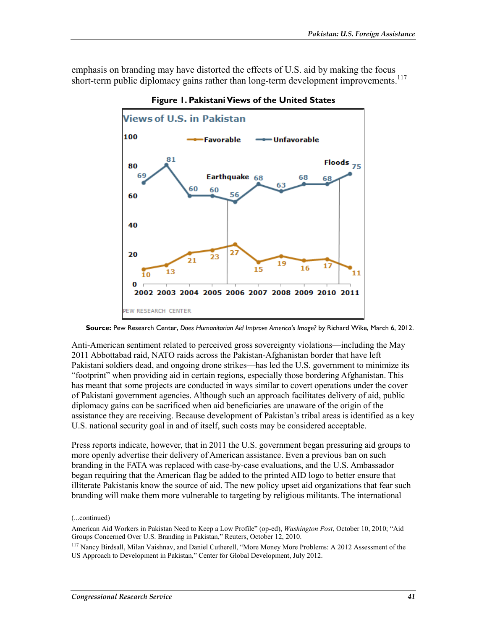emphasis on branding may have distorted the effects of U.S. aid by making the focus short-term public diplomacy gains rather than long-term development improvements.<sup>117</sup>



**Figure 1. Pakistani Views of the United States** 

**Source:** Pew Research Center, *Does Humanitarian Aid Improve America's Image?* by Richard Wike, March 6, 2012.

Anti-American sentiment related to perceived gross sovereignty violations—including the May 2011 Abbottabad raid, NATO raids across the Pakistan-Afghanistan border that have left Pakistani soldiers dead, and ongoing drone strikes—has led the U.S. government to minimize its "footprint" when providing aid in certain regions, especially those bordering Afghanistan. This has meant that some projects are conducted in ways similar to covert operations under the cover of Pakistani government agencies. Although such an approach facilitates delivery of aid, public diplomacy gains can be sacrificed when aid beneficiaries are unaware of the origin of the assistance they are receiving. Because development of Pakistan's tribal areas is identified as a key U.S. national security goal in and of itself, such costs may be considered acceptable.

Press reports indicate, however, that in 2011 the U.S. government began pressuring aid groups to more openly advertise their delivery of American assistance. Even a previous ban on such branding in the FATA was replaced with case-by-case evaluations, and the U.S. Ambassador began requiring that the American flag be added to the printed AID logo to better ensure that illiterate Pakistanis know the source of aid. The new policy upset aid organizations that fear such branding will make them more vulnerable to targeting by religious militants. The international

<sup>(...</sup>continued)

American Aid Workers in Pakistan Need to Keep a Low Profile" (op-ed), *Washington Post*, October 10, 2010; "Aid Groups Concerned Over U.S. Branding in Pakistan," Reuters, October 12, 2010.

<sup>&</sup>lt;sup>117</sup> Nancy Birdsall, Milan Vaishnav, and Daniel Cutherell, "More Money More Problems: A 2012 Assessment of the US Approach to Development in Pakistan," Center for Global Development, July 2012.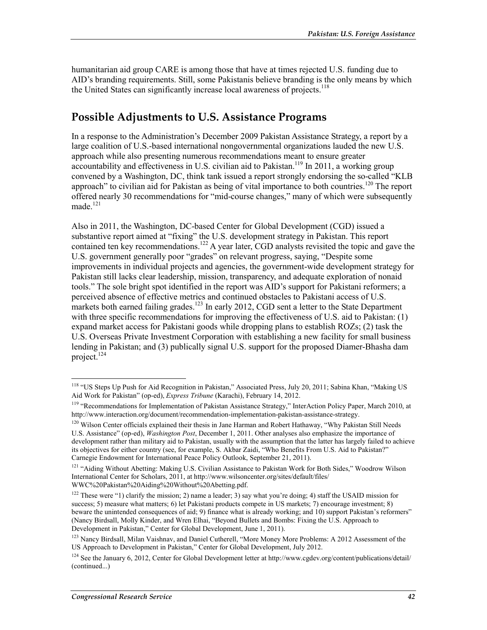humanitarian aid group CARE is among those that have at times rejected U.S. funding due to AID's branding requirements. Still, some Pakistanis believe branding is the only means by which the United States can significantly increase local awareness of projects.<sup>118</sup>

## **Possible Adjustments to U.S. Assistance Programs**

In a response to the Administration's December 2009 Pakistan Assistance Strategy, a report by a large coalition of U.S.-based international nongovernmental organizations lauded the new U.S. approach while also presenting numerous recommendations meant to ensure greater accountability and effectiveness in U.S. civilian aid to Pakistan.<sup>119</sup> In 2011, a working group convened by a Washington, DC, think tank issued a report strongly endorsing the so-called "KLB approach" to civilian aid for Pakistan as being of vital importance to both countries.<sup>120</sup> The report offered nearly 30 recommendations for "mid-course changes," many of which were subsequently made. $121$ 

Also in 2011, the Washington, DC-based Center for Global Development (CGD) issued a substantive report aimed at "fixing" the U.S. development strategy in Pakistan. This report contained ten key recommendations.<sup>122</sup> A year later, CGD analysts revisited the topic and gave the U.S. government generally poor "grades" on relevant progress, saying, "Despite some improvements in individual projects and agencies, the government-wide development strategy for Pakistan still lacks clear leadership, mission, transparency, and adequate exploration of nonaid tools." The sole bright spot identified in the report was AID's support for Pakistani reformers; a perceived absence of effective metrics and continued obstacles to Pakistani access of U.S. markets both earned failing grades.<sup>123</sup> In early 2012, CGD sent a letter to the State Department with three specific recommendations for improving the effectiveness of U.S. aid to Pakistan: (1) expand market access for Pakistani goods while dropping plans to establish ROZs; (2) task the U.S. Overseas Private Investment Corporation with establishing a new facility for small business lending in Pakistan; and (3) publically signal U.S. support for the proposed Diamer-Bhasha dam project.<sup>124</sup>

<sup>&</sup>lt;sup>118</sup> "US Steps Up Push for Aid Recognition in Pakistan," Associated Press, July 20, 2011; Sabina Khan, "Making US Aid Work for Pakistan" (op-ed), *Express Tribune* (Karachi), February 14, 2012.

<sup>119 &</sup>quot;Recommendations for Implementation of Pakistan Assistance Strategy," InterAction Policy Paper, March 2010, at http://www.interaction.org/document/recommendation-implementation-pakistan-assistance-strategy.

<sup>&</sup>lt;sup>120</sup> Wilson Center officials explained their thesis in Jane Harman and Robert Hathaway, "Why Pakistan Still Needs U.S. Assistance" (op-ed), *Washington Post*, December 1, 2011. Other analyses also emphasize the importance of development rather than military aid to Pakistan, usually with the assumption that the latter has largely failed to achieve its objectives for either country (see, for example, S. Akbar Zaidi, "Who Benefits From U.S. Aid to Pakistan?" Carnegie Endowment for International Peace Policy Outlook, September 21, 2011).

<sup>&</sup>lt;sup>121</sup> "Aiding Without Abetting: Making U.S. Civilian Assistance to Pakistan Work for Both Sides," Woodrow Wilson International Center for Scholars, 2011, at http://www.wilsoncenter.org/sites/default/files/ WWC%20Pakistan%20Aiding%20Without%20Abetting.pdf.

<sup>&</sup>lt;sup>122</sup> These were "1) clarify the mission; 2) name a leader; 3) say what you're doing; 4) staff the USAID mission for success; 5) measure what matters; 6) let Pakistani products compete in US markets; 7) encourage investment; 8) beware the unintended consequences of aid; 9) finance what is already working; and 10) support Pakistan's reformers" (Nancy Birdsall, Molly Kinder, and Wren Elhai, "Beyond Bullets and Bombs: Fixing the U.S. Approach to Development in Pakistan," Center for Global Development, June 1, 2011).

<sup>&</sup>lt;sup>123</sup> Nancy Birdsall, Milan Vaishnav, and Daniel Cutherell, "More Money More Problems: A 2012 Assessment of the US Approach to Development in Pakistan," Center for Global Development, July 2012.

 $124$  See the January 6, 2012, Center for Global Development letter at http://www.cgdev.org/content/publications/detail/ (continued...)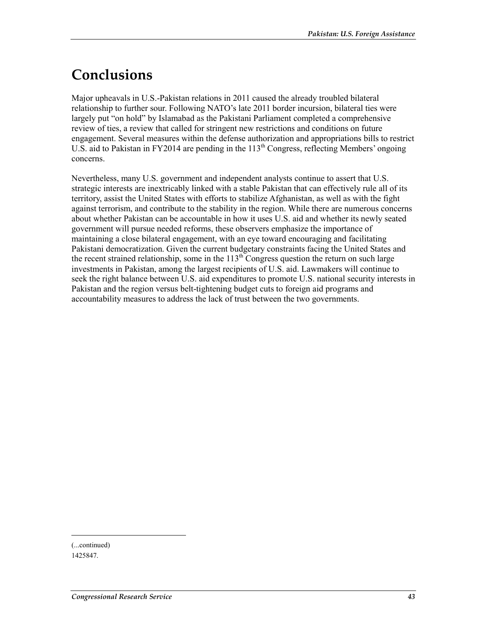# **Conclusions**

Major upheavals in U.S.-Pakistan relations in 2011 caused the already troubled bilateral relationship to further sour. Following NATO's late 2011 border incursion, bilateral ties were largely put "on hold" by Islamabad as the Pakistani Parliament completed a comprehensive review of ties, a review that called for stringent new restrictions and conditions on future engagement. Several measures within the defense authorization and appropriations bills to restrict U.S. aid to Pakistan in FY2014 are pending in the  $113<sup>th</sup>$  Congress, reflecting Members' ongoing concerns.

Nevertheless, many U.S. government and independent analysts continue to assert that U.S. strategic interests are inextricably linked with a stable Pakistan that can effectively rule all of its territory, assist the United States with efforts to stabilize Afghanistan, as well as with the fight against terrorism, and contribute to the stability in the region. While there are numerous concerns about whether Pakistan can be accountable in how it uses U.S. aid and whether its newly seated government will pursue needed reforms, these observers emphasize the importance of maintaining a close bilateral engagement, with an eye toward encouraging and facilitating Pakistani democratization. Given the current budgetary constraints facing the United States and the recent strained relationship, some in the  $113<sup>th</sup>$  Congress question the return on such large investments in Pakistan, among the largest recipients of U.S. aid. Lawmakers will continue to seek the right balance between U.S. aid expenditures to promote U.S. national security interests in Pakistan and the region versus belt-tightening budget cuts to foreign aid programs and accountability measures to address the lack of trust between the two governments.

<sup>(...</sup>continued)

<sup>1425847.</sup>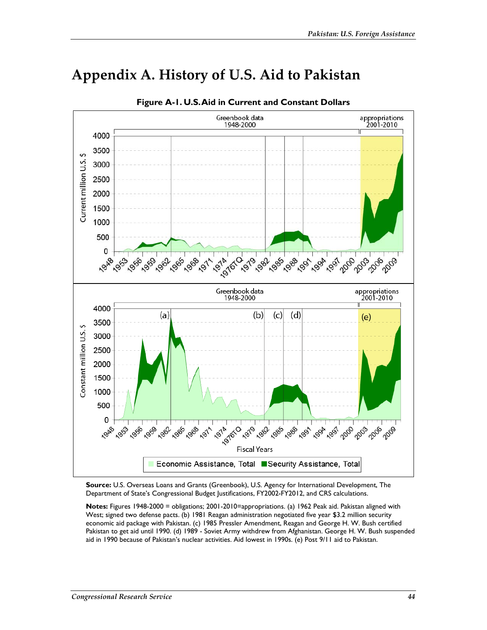

# **Appendix A. History of U.S. Aid to Pakistan**

**Source:** U.S. Overseas Loans and Grants (Greenbook), U.S. Agency for International Development, The Department of State's Congressional Budget Justifications, FY2002-FY2012, and CRS calculations.

**Notes:** Figures 1948-2000 = obligations; 2001-2010=appropriations. (a) 1962 Peak aid. Pakistan aligned with West; signed two defense pacts. (b) 1981 Reagan administration negotiated five year \$3.2 million security economic aid package with Pakistan. (c) 1985 Pressler Amendment, Reagan and George H. W. Bush certified Pakistan to get aid until 1990. (d) 1989 - Soviet Army withdrew from Afghanistan. George H. W. Bush suspended aid in 1990 because of Pakistan's nuclear activities. Aid lowest in 1990s. (e) Post 9/11 aid to Pakistan.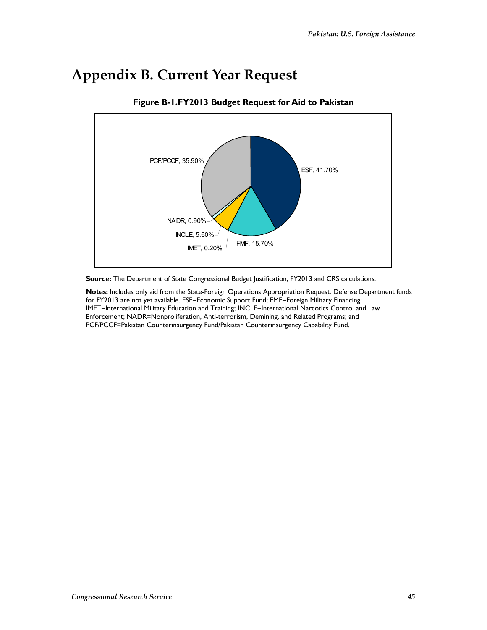# **Appendix B. Current Year Request**



**Figure B-1.FY2013 Budget Request for Aid to Pakistan** 

**Source:** The Department of State Congressional Budget Justification, FY2013 and CRS calculations.

**Notes:** Includes only aid from the State-Foreign Operations Appropriation Request. Defense Department funds for FY2013 are not yet available. ESF=Economic Support Fund; FMF=Foreign Military Financing; IMET=International Military Education and Training; INCLE=International Narcotics Control and Law Enforcement; NADR=Nonproliferation, Anti-terrorism, Demining, and Related Programs; and PCF/PCCF=Pakistan Counterinsurgency Fund/Pakistan Counterinsurgency Capability Fund.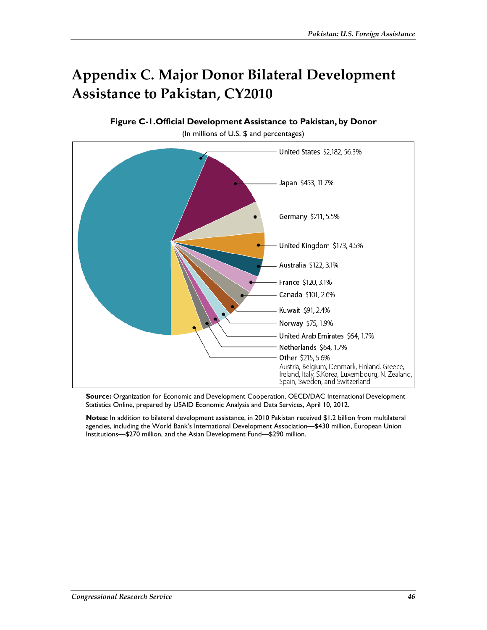# **Appendix C. Major Donor Bilateral Development Assistance to Pakistan, CY2010**

**Figure C-1.Official Development Assistance to Pakistan, by Donor** 

(In millions of U.S. \$ and percentages)



**Source:** Organization for Economic and Development Cooperation, OECD/DAC International Development Statistics Online, prepared by USAID Economic Analysis and Data Services, April 10, 2012.

**Notes:** In addition to bilateral development assistance, in 2010 Pakistan received \$1.2 billion from multilateral agencies, including the World Bank's International Development Association—\$430 million, European Union Institutions—\$270 million, and the Asian Development Fund—\$290 million.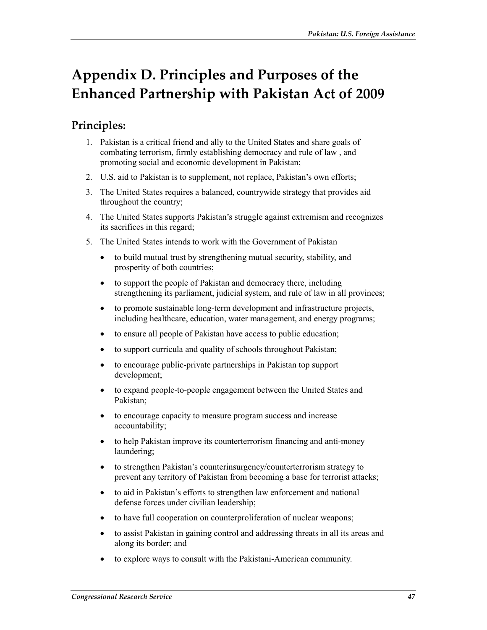# **Appendix D. Principles and Purposes of the Enhanced Partnership with Pakistan Act of 2009**

## **Principles:**

- 1. Pakistan is a critical friend and ally to the United States and share goals of combating terrorism, firmly establishing democracy and rule of law , and promoting social and economic development in Pakistan;
- 2. U.S. aid to Pakistan is to supplement, not replace, Pakistan's own efforts;
- 3. The United States requires a balanced, countrywide strategy that provides aid throughout the country;
- 4. The United States supports Pakistan's struggle against extremism and recognizes its sacrifices in this regard;
- 5. The United States intends to work with the Government of Pakistan
	- to build mutual trust by strengthening mutual security, stability, and prosperity of both countries;
	- to support the people of Pakistan and democracy there, including strengthening its parliament, judicial system, and rule of law in all provinces;
	- to promote sustainable long-term development and infrastructure projects, including healthcare, education, water management, and energy programs;
	- to ensure all people of Pakistan have access to public education;
	- to support curricula and quality of schools throughout Pakistan;
	- to encourage public-private partnerships in Pakistan top support development;
	- to expand people-to-people engagement between the United States and Pakistan;
	- to encourage capacity to measure program success and increase accountability;
	- to help Pakistan improve its counterterrorism financing and anti-money laundering;
	- to strengthen Pakistan's counterinsurgency/counterterrorism strategy to prevent any territory of Pakistan from becoming a base for terrorist attacks;
	- to aid in Pakistan's efforts to strengthen law enforcement and national defense forces under civilian leadership;
	- to have full cooperation on counterproliferation of nuclear weapons;
	- to assist Pakistan in gaining control and addressing threats in all its areas and along its border; and
	- to explore ways to consult with the Pakistani-American community.